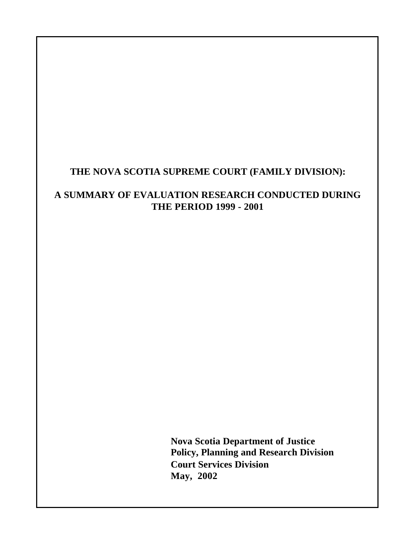# **THE NOVA SCOTIA SUPREME COURT (FAMILY DIVISION):**

# **A SUMMARY OF EVALUATION RESEARCH CONDUCTED DURING THE PERIOD 1999 - 2001**

**Nova Scotia Department of Justice Policy, Planning and Research Division Court Services Division May, 2002**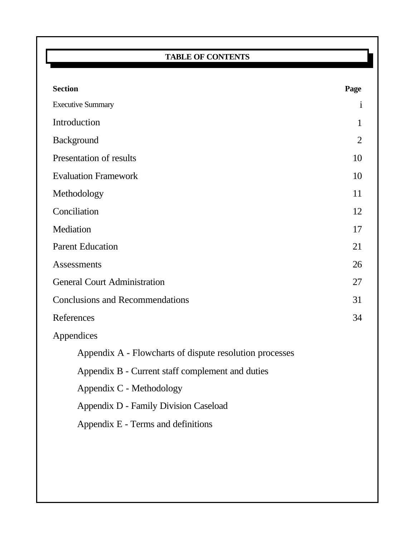# **TABLE OF CONTENTS**

| <b>Section</b>                                          | Page           |
|---------------------------------------------------------|----------------|
| <b>Executive Summary</b>                                | $\mathbf{i}$   |
| Introduction                                            | $\mathbf{1}$   |
| <b>Background</b>                                       | $\overline{2}$ |
| Presentation of results                                 | 10             |
| <b>Evaluation Framework</b>                             | 10             |
| Methodology                                             | 11             |
| Conciliation                                            | 12             |
| Mediation                                               | 17             |
| <b>Parent Education</b>                                 | 21             |
| Assessments                                             | 26             |
| <b>General Court Administration</b>                     | 27             |
| <b>Conclusions and Recommendations</b>                  | 31             |
| References                                              | 34             |
| Appendices                                              |                |
| Appendix A - Flowcharts of dispute resolution processes |                |
| Appendix B - Current staff complement and duties        |                |
| Appendix C - Methodology                                |                |
| Appendix D - Family Division Caseload                   |                |
| Appendix E - Terms and definitions                      |                |
|                                                         |                |
|                                                         |                |
|                                                         |                |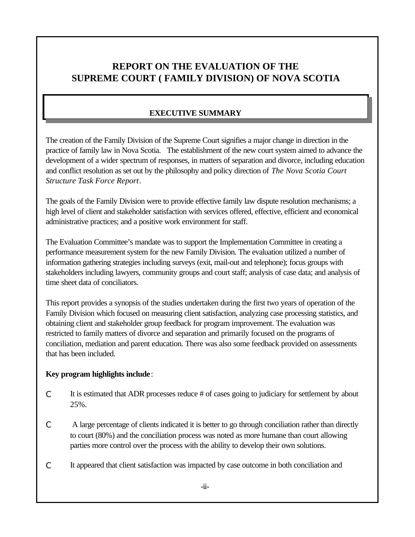# **REPORT ON THE EVALUATION OF THE SUPREME COURT ( FAMILY DIVISION) OF NOVA SCOTIA**

## **EXECUTIVE SUMMARY**

The creation of the Family Division of the Supreme Court signifies a major change in direction in the practice of family law in Nova Scotia. The establishment of the new court system aimed to advance the development of a wider spectrum of responses, in matters of separation and divorce, including education and conflict resolution as set out by the philosophy and policy direction of *The Nova Scotia Court Structure Task Force Report*.

The goals of the Family Division were to provide effective family law dispute resolution mechanisms; a high level of client and stakeholder satisfaction with services offered, effective, efficient and economical administrative practices; and a positive work environment for staff.

The Evaluation Committee's mandate was to support the Implementation Committee in creating a performance measurement system for the new Family Division. The evaluation utilized a number of information gathering strategies including surveys (exit, mail-out and telephone); focus groups with stakeholders including lawyers, community groups and court staff; analysis of case data; and analysis of time sheet data of conciliators.

This report provides a synopsis of the studies undertaken during the first two years of operation of the Family Division which focused on measuring client satisfaction, analyzing case processing statistics, and obtaining client and stakeholder group feedback for program improvement. The evaluation was restricted to family matters of divorce and separation and primarily focused on the programs of conciliation, mediation and parent education. There was also some feedback provided on assessments that has been included.

#### **Key program highlights include**:

- C It is estimated that ADR processes reduce # of cases going to judiciary for settlement by about 25%.
- C A large percentage of clients indicated it is better to go through conciliation rather than directly to court (80%) and the conciliation process was noted as more humane than court allowing parties more control over the process with the ability to develop their own solutions.
- C It appeared that client satisfaction was impacted by case outcome in both conciliation and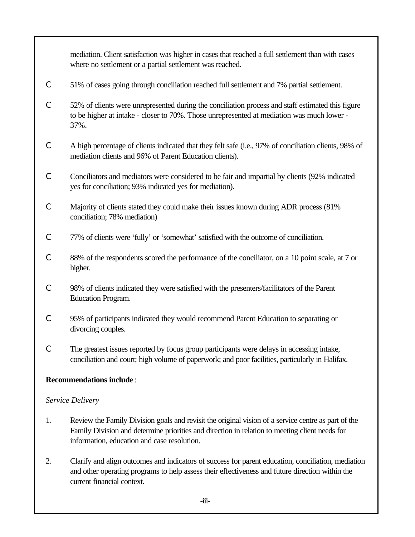mediation. Client satisfaction was higher in cases that reached a full settlement than with cases where no settlement or a partial settlement was reached.

- C 51% of cases going through conciliation reached full settlement and 7% partial settlement.
- C 52% of clients were unrepresented during the conciliation process and staff estimated this figure to be higher at intake - closer to 70%. Those unrepresented at mediation was much lower - 37%.
- C A high percentage of clients indicated that they felt safe (i.e., 97% of conciliation clients, 98% of mediation clients and 96% of Parent Education clients).
- C Conciliators and mediators were considered to be fair and impartial by clients (92% indicated yes for conciliation; 93% indicated yes for mediation).
- C Majority of clients stated they could make their issues known during ADR process (81% conciliation; 78% mediation)
- C 77% of clients were 'fully' or 'somewhat' satisfied with the outcome of conciliation.
- C 88% of the respondents scored the performance of the conciliator, on a 10 point scale, at 7 or higher.
- C 98% of clients indicated they were satisfied with the presenters/facilitators of the Parent Education Program.
- C 95% of participants indicated they would recommend Parent Education to separating or divorcing couples.
- C The greatest issues reported by focus group participants were delays in accessing intake, conciliation and court; high volume of paperwork; and poor facilities, particularly in Halifax.

#### **Recommendations include**:

#### *Service Delivery*

- 1. Review the Family Division goals and revisit the original vision of a service centre as part of the Family Division and determine priorities and direction in relation to meeting client needs for information, education and case resolution.
- 2. Clarify and align outcomes and indicators of success for parent education, conciliation, mediation and other operating programs to help assess their effectiveness and future direction within the current financial context.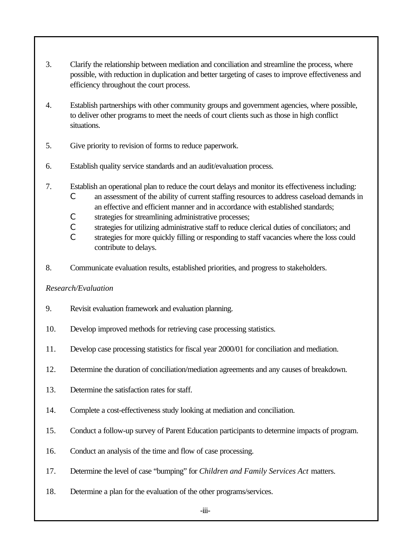- 3. Clarify the relationship between mediation and conciliation and streamline the process, where possible, with reduction in duplication and better targeting of cases to improve effectiveness and efficiency throughout the court process.
- 4. Establish partnerships with other community groups and government agencies, where possible, to deliver other programs to meet the needs of court clients such as those in high conflict situations.
- 5. Give priority to revision of forms to reduce paperwork.
- 6. Establish quality service standards and an audit/evaluation process.
- 7. Establish an operational plan to reduce the court delays and monitor its effectiveness including:
	- C an assessment of the ability of current staffing resources to address caseload demands in an effective and efficient manner and in accordance with established standards;
	- C strategies for streamlining administrative processes;
	- C strategies for utilizing administrative staff to reduce clerical duties of conciliators; and
	- C strategies for more quickly filling or responding to staff vacancies where the loss could contribute to delays.
- 8. Communicate evaluation results, established priorities, and progress to stakeholders.

## *Research/Evaluation*

- 9. Revisit evaluation framework and evaluation planning.
- 10. Develop improved methods for retrieving case processing statistics.
- 11. Develop case processing statistics for fiscal year 2000/01 for conciliation and mediation.
- 12. Determine the duration of conciliation/mediation agreements and any causes of breakdown.
- 13. Determine the satisfaction rates for staff.
- 14. Complete a cost-effectiveness study looking at mediation and conciliation.
- 15. Conduct a follow-up survey of Parent Education participants to determine impacts of program.
- 16. Conduct an analysis of the time and flow of case processing.
- 17. Determine the level of case "bumping" for *Children and Family Services Act* matters.
- 18. Determine a plan for the evaluation of the other programs/services.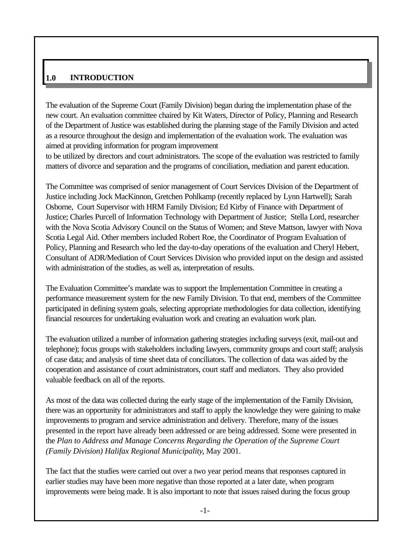#### **1.0 INTRODUCTION**

The evaluation of the Supreme Court (Family Division) began during the implementation phase of the new court. An evaluation committee chaired by Kit Waters, Director of Policy, Planning and Research of the Department of Justice was established during the planning stage of the Family Division and acted as a resource throughout the design and implementation of the evaluation work. The evaluation was aimed at providing information for program improvement

to be utilized by directors and court administrators. The scope of the evaluation was restricted to family matters of divorce and separation and the programs of conciliation, mediation and parent education.

The Committee was comprised of senior management of Court Services Division of the Department of Justice including Jock MacKinnon, Gretchen Pohlkamp (recently replaced by Lynn Hartwell); Sarah Osborne, Court Supervisor with HRM Family Division; Ed Kirby of Finance with Department of Justice; Charles Purcell of Information Technology with Department of Justice; Stella Lord, researcher with the Nova Scotia Advisory Council on the Status of Women; and Steve Mattson, lawyer with Nova Scotia Legal Aid. Other members included Robert Roe, the Coordinator of Program Evaluation of Policy, Planning and Research who led the day-to-day operations of the evaluation and Cheryl Hebert, Consultant of ADR/Mediation of Court Services Division who provided input on the design and assisted with administration of the studies, as well as, interpretation of results.

The Evaluation Committee's mandate was to support the Implementation Committee in creating a performance measurement system for the new Family Division. To that end, members of the Committee participated in defining system goals, selecting appropriate methodologies for data collection, identifying financial resources for undertaking evaluation work and creating an evaluation work plan.

The evaluation utilized a number of information gathering strategies including surveys (exit, mail-out and telephone); focus groups with stakeholders including lawyers, community groups and court staff; analysis of case data; and analysis of time sheet data of conciliators. The collection of data was aided by the cooperation and assistance of court administrators, court staff and mediators. They also provided valuable feedback on all of the reports.

As most of the data was collected during the early stage of the implementation of the Family Division, there was an opportunity for administrators and staff to apply the knowledge they were gaining to make improvements to program and service administration and delivery. Therefore, many of the issues presented in the report have already been addressed or are being addressed. Some were presented in the *Plan to Address and Manage Concerns Regarding the Operation of the Supreme Court (Family Division) Halifax Regional Municipality*, May 2001.

The fact that the studies were carried out over a two year period means that responses captured in earlier studies may have been more negative than those reported at a later date, when program improvements were being made. It is also important to note that issues raised during the focus group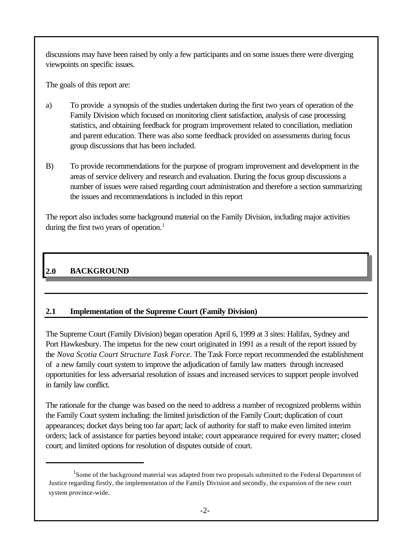discussions may have been raised by only a few participants and on some issues there were diverging viewpoints on specific issues.

The goals of this report are:

- a) To provide a synopsis of the studies undertaken during the first two years of operation of the Family Division which focused on monitoring client satisfaction, analysis of case processing statistics, and obtaining feedback for program improvement related to conciliation, mediation and parent education. There was also some feedback provided on assessments during focus group discussions that has been included.
- B) To provide recommendations for the purpose of program improvement and development in the areas of service delivery and research and evaluation. During the focus group discussions a number of issues were raised regarding court administration and therefore a section summarizing the issues and recommendations is included in this report

The report also includes some background material on the Family Division, including major activities during the first two years of operation.<sup>1</sup>

# **2.0 BACKGROUND**

# **2.1 Implementation of the Supreme Court (Family Division)**

The Supreme Court (Family Division) began operation April 6, 1999 at 3 sites: Halifax, Sydney and Port Hawkesbury. The impetus for the new court originated in 1991 as a result of the report issued by the *Nova Scotia Court Structure Task Force*. The Task Force report recommended the establishment of a new family court system to improve the adjudication of family law matters through increased opportunities for less adversarial resolution of issues and increased services to support people involved in family law conflict.

The rationale for the change was based on the need to address a number of recognized problems within the Family Court system including: the limited jurisdiction of the Family Court; duplication of court appearances; docket days being too far apart; lack of authority for staff to make even limited interim orders; lack of assistance for parties beyond intake; court appearance required for every matter; closed court; and limited options for resolution of disputes outside of court.

<sup>&</sup>lt;sup>1</sup>Some of the background material was adapted from two proposals submitted to the Federal Department of Justice regarding firstly, the implementation of the Family Division and secondly, the expansion of the new court system province-wide.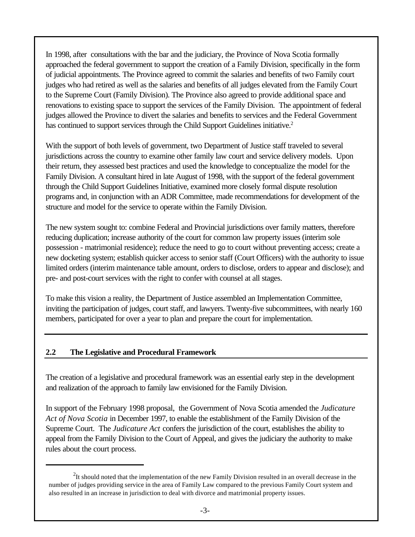In 1998, after consultations with the bar and the judiciary, the Province of Nova Scotia formally approached the federal government to support the creation of a Family Division, specifically in the form of judicial appointments. The Province agreed to commit the salaries and benefits of two Family court judges who had retired as well as the salaries and benefits of all judges elevated from the Family Court to the Supreme Court (Family Division). The Province also agreed to provide additional space and renovations to existing space to support the services of the Family Division. The appointment of federal judges allowed the Province to divert the salaries and benefits to services and the Federal Government has continued to support services through the Child Support Guidelines initiative.<sup>2</sup>

With the support of both levels of government, two Department of Justice staff traveled to several jurisdictions across the country to examine other family law court and service delivery models. Upon their return, they assessed best practices and used the knowledge to conceptualize the model for the Family Division. A consultant hired in late August of 1998, with the support of the federal government through the Child Support Guidelines Initiative, examined more closely formal dispute resolution programs and, in conjunction with an ADR Committee, made recommendations for development of the structure and model for the service to operate within the Family Division.

The new system sought to: combine Federal and Provincial jurisdictions over family matters, therefore reducing duplication; increase authority of the court for common law property issues (interim sole possession - matrimonial residence); reduce the need to go to court without preventing access; create a new docketing system; establish quicker access to senior staff (Court Officers) with the authority to issue limited orders (interim maintenance table amount, orders to disclose, orders to appear and disclose); and pre- and post-court services with the right to confer with counsel at all stages.

To make this vision a reality, the Department of Justice assembled an Implementation Committee, inviting the participation of judges, court staff, and lawyers. Twenty-five subcommittees, with nearly 160 members, participated for over a year to plan and prepare the court for implementation.

#### **2.2 The Legislative and Procedural Framework**

The creation of a legislative and procedural framework was an essential early step in the development and realization of the approach to family law envisioned for the Family Division.

In support of the February 1998 proposal, the Government of Nova Scotia amended the *Judicature Act of Nova Scotia* in December 1997, to enable the establishment of the Family Division of the Supreme Court. The *Judicature Act* confers the jurisdiction of the court, establishes the ability to appeal from the Family Division to the Court of Appeal, and gives the judiciary the authority to make rules about the court process.

 $2$ It should noted that the implementation of the new Family Division resulted in an overall decrease in the number of judges providing service in the area of Family Law compared to the previous Family Court system and also resulted in an increase in jurisdiction to deal with divorce and matrimonial property issues.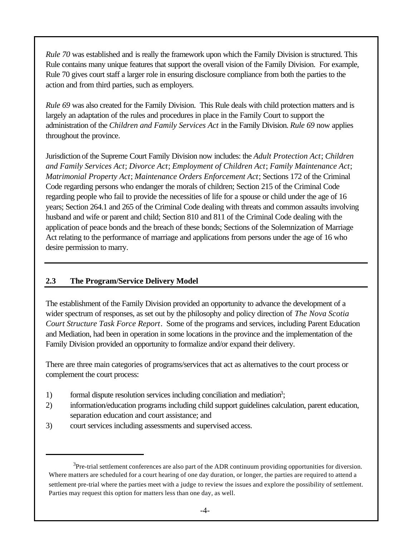*Rule 70* was established and is really the framework upon which the Family Division is structured. This Rule contains many unique features that support the overall vision of the Family Division. For example, Rule 70 gives court staff a larger role in ensuring disclosure compliance from both the parties to the action and from third parties, such as employers.

*Rule 69* was also created for the Family Division. This Rule deals with child protection matters and is largely an adaptation of the rules and procedures in place in the Family Court to support the administration of the *Children and Family Services Act* in the Family Division. *Rule 69* now applies throughout the province.

Jurisdiction of the Supreme Court Family Division now includes: the *Adult Protection Act*; *Children and Family Services Act*; *Divorce Act*; *Employment of Children Act*; *Family Maintenance Act*; *Matrimonial Property Act*; *Maintenance Orders Enforcement Act*; Sections 172 of the Criminal Code regarding persons who endanger the morals of children; Section 215 of the Criminal Code regarding people who fail to provide the necessities of life for a spouse or child under the age of 16 years; Section 264.1 and 265 of the Criminal Code dealing with threats and common assaults involving husband and wife or parent and child; Section 810 and 811 of the Criminal Code dealing with the application of peace bonds and the breach of these bonds; Sections of the Solemnization of Marriage Act relating to the performance of marriage and applications from persons under the age of 16 who desire permission to marry.

## **2.3 The Program/Service Delivery Model**

The establishment of the Family Division provided an opportunity to advance the development of a wider spectrum of responses, as set out by the philosophy and policy direction of *The Nova Scotia Court Structure Task Force Report*. Some of the programs and services, including Parent Education and Mediation, had been in operation in some locations in the province and the implementation of the Family Division provided an opportunity to formalize and/or expand their delivery.

There are three main categories of programs/services that act as alternatives to the court process or complement the court process:

- 1) formal dispute resolution services including conciliation and mediation<sup>3</sup>;
- 2) information/education programs including child support guidelines calculation, parent education, separation education and court assistance; and
- 3) court services including assessments and supervised access.

 $3$ Pre-trial settlement conferences are also part of the ADR continuum providing opportunities for diversion. Where matters are scheduled for a court hearing of one day duration, or longer, the parties are required to attend a settlement pre-trial where the parties meet with a judge to review the issues and explore the possibility of settlement. Parties may request this option for matters less than one day, as well.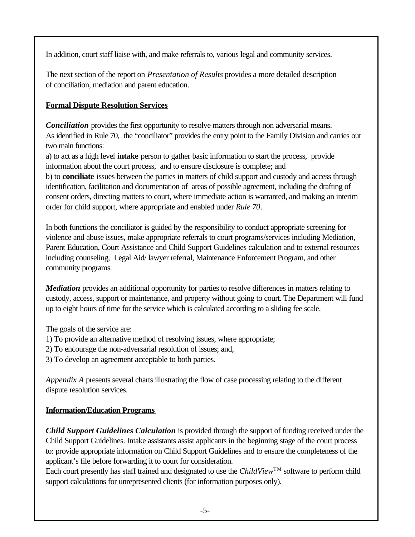In addition, court staff liaise with, and make referrals to, various legal and community services.

The next section of the report on *Presentation of Results* provides a more detailed description of conciliation, mediation and parent education.

## **Formal Dispute Resolution Services**

*Conciliation* provides the first opportunity to resolve matters through non adversarial means. As identified in Rule 70, the "conciliator" provides the entry point to the Family Division and carries out two main functions:

a) to act as a high level **intake** person to gather basic information to start the process, provide information about the court process, and to ensure disclosure is complete; and b) to **conciliate** issues between the parties in matters of child support and custody and access through identification, facilitation and documentation of areas of possible agreement, including the drafting of consent orders, directing matters to court, where immediate action is warranted, and making an interim order for child support, where appropriate and enabled under *Rule 70*.

In both functions the conciliator is guided by the responsibility to conduct appropriate screening for violence and abuse issues, make appropriate referrals to court programs/services including Mediation, Parent Education, Court Assistance and Child Support Guidelines calculation and to external resources including counseling, Legal Aid/ lawyer referral, Maintenance Enforcement Program, and other community programs.

*Mediation* provides an additional opportunity for parties to resolve differences in matters relating to custody, access, support or maintenance, and property without going to court. The Department will fund up to eight hours of time for the service which is calculated according to a sliding fee scale.

The goals of the service are:

- 1) To provide an alternative method of resolving issues, where appropriate;
- 2) To encourage the non-adversarial resolution of issues; and,
- 3) To develop an agreement acceptable to both parties.

*Appendix A* presents several charts illustrating the flow of case processing relating to the different dispute resolution services.

## **Information/Education Programs**

*Child Support Guidelines Calculation* is provided through the support of funding received under the Child Support Guidelines. Intake assistants assist applicants in the beginning stage of the court process to: provide appropriate information on Child Support Guidelines and to ensure the completeness of the applicant's file before forwarding it to court for consideration.

Each court presently has staff trained and designated to use the *ChildView*<sup>TM</sup> software to perform child support calculations for unrepresented clients (for information purposes only).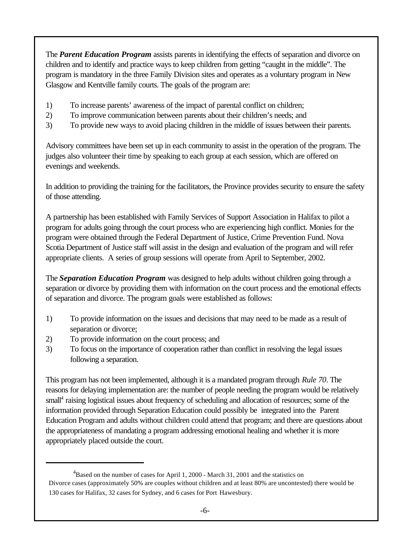The *Parent Education Program* assists parents in identifying the effects of separation and divorce on children and to identify and practice ways to keep children from getting "caught in the middle". The program is mandatory in the three Family Division sites and operates as a voluntary program in New Glasgow and Kentville family courts. The goals of the program are:

- 1) To increase parents' awareness of the impact of parental conflict on children;
- 2) To improve communication between parents about their children's needs; and
- 3) To provide new ways to avoid placing children in the middle of issues between their parents.

Advisory committees have been set up in each community to assist in the operation of the program. The judges also volunteer their time by speaking to each group at each session, which are offered on evenings and weekends.

In addition to providing the training for the facilitators, the Province provides security to ensure the safety of those attending.

A partnership has been established with Family Services of Support Association in Halifax to pilot a program for adults going through the court process who are experiencing high conflict. Monies for the program were obtained through the Federal Department of Justice, Crime Prevention Fund. Nova Scotia Department of Justice staff will assist in the design and evaluation of the program and will refer appropriate clients. A series of group sessions will operate from April to September, 2002.

The *Separation Education Program* was designed to help adults without children going through a separation or divorce by providing them with information on the court process and the emotional effects of separation and divorce. The program goals were established as follows:

- 1) To provide information on the issues and decisions that may need to be made as a result of separation or divorce;
- 2) To provide information on the court process; and
- 3) To focus on the importance of cooperation rather than conflict in resolving the legal issues following a separation.

This program has not been implemented, although it is a mandated program through *Rule 70*. The reasons for delaying implementation are: the number of people needing the program would be relatively small<sup>4</sup> raising logistical issues about frequency of scheduling and allocation of resources; some of the information provided through Separation Education could possibly be integrated into the Parent Education Program and adults without children could attend that program; and there are questions about the appropriateness of mandating a program addressing emotional healing and whether it is more appropriately placed outside the court.

<sup>&</sup>lt;sup>4</sup>Based on the number of cases for April 1, 2000 - March 31, 2001 and the statistics on Divorce cases (approximately 50% are couples without children and at least 80% are uncontested) there would be 130 cases for Halifax, 32 cases for Sydney, and 6 cases for Port Hawesbury.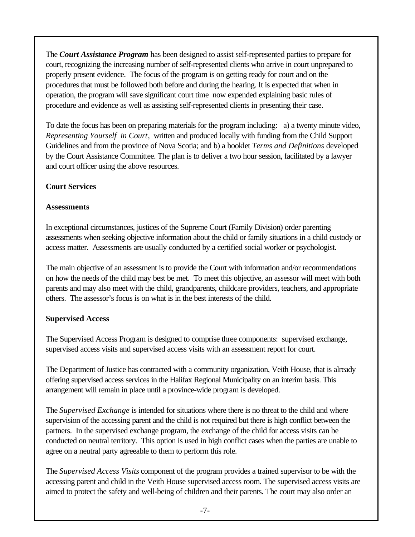The *Court Assistance Program* has been designed to assist self-represented parties to prepare for court, recognizing the increasing number of self-represented clients who arrive in court unprepared to properly present evidence. The focus of the program is on getting ready for court and on the procedures that must be followed both before and during the hearing. It is expected that when in operation, the program will save significant court time now expended explaining basic rules of procedure and evidence as well as assisting self-represented clients in presenting their case.

To date the focus has been on preparing materials for the program including: a) a twenty minute video, *Representing Yourself in Court*, written and produced locally with funding from the Child Support Guidelines and from the province of Nova Scotia; and b) a booklet *Terms and Definitions* developed by the Court Assistance Committee. The plan is to deliver a two hour session, facilitated by a lawyer and court officer using the above resources.

#### **Court Services**

#### **Assessments**

In exceptional circumstances, justices of the Supreme Court (Family Division) order parenting assessments when seeking objective information about the child or family situations in a child custody or access matter. Assessments are usually conducted by a certified social worker or psychologist.

The main objective of an assessment is to provide the Court with information and/or recommendations on how the needs of the child may best be met. To meet this objective, an assessor will meet with both parents and may also meet with the child, grandparents, childcare providers, teachers, and appropriate others. The assessor's focus is on what is in the best interests of the child.

## **Supervised Access**

The Supervised Access Program is designed to comprise three components: supervised exchange, supervised access visits and supervised access visits with an assessment report for court.

The Department of Justice has contracted with a community organization, Veith House, that is already offering supervised access services in the Halifax Regional Municipality on an interim basis. This arrangement will remain in place until a province-wide program is developed.

The *Supervised Exchange* is intended for situations where there is no threat to the child and where supervision of the accessing parent and the child is not required but there is high conflict between the partners. In the supervised exchange program, the exchange of the child for access visits can be conducted on neutral territory. This option is used in high conflict cases when the parties are unable to agree on a neutral party agreeable to them to perform this role.

The *Supervised Access Visits* component of the program provides a trained supervisor to be with the accessing parent and child in the Veith House supervised access room. The supervised access visits are aimed to protect the safety and well-being of children and their parents. The court may also order an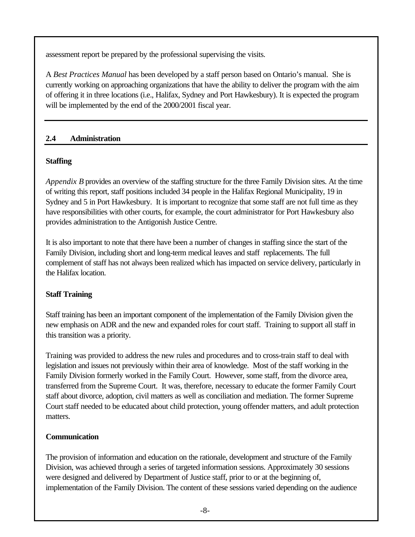assessment report be prepared by the professional supervising the visits.

A *Best Practices Manual* has been developed by a staff person based on Ontario's manual. She is currently working on approaching organizations that have the ability to deliver the program with the aim of offering it in three locations (i.e., Halifax, Sydney and Port Hawkesbury). It is expected the program will be implemented by the end of the 2000/2001 fiscal year.

#### **2.4 Administration**

## **Staffing**

*Appendix B* provides an overview of the staffing structure for the three Family Division sites. At the time of writing this report, staff positions included 34 people in the Halifax Regional Municipality, 19 in Sydney and 5 in Port Hawkesbury. It is important to recognize that some staff are not full time as they have responsibilities with other courts, for example, the court administrator for Port Hawkesbury also provides administration to the Antigonish Justice Centre.

It is also important to note that there have been a number of changes in staffing since the start of the Family Division, including short and long-term medical leaves and staff replacements. The full complement of staff has not always been realized which has impacted on service delivery, particularly in the Halifax location.

## **Staff Training**

Staff training has been an important component of the implementation of the Family Division given the new emphasis on ADR and the new and expanded roles for court staff. Training to support all staff in this transition was a priority.

Training was provided to address the new rules and procedures and to cross-train staff to deal with legislation and issues not previously within their area of knowledge. Most of the staff working in the Family Division formerly worked in the Family Court. However, some staff, from the divorce area, transferred from the Supreme Court. It was, therefore, necessary to educate the former Family Court staff about divorce, adoption, civil matters as well as conciliation and mediation. The former Supreme Court staff needed to be educated about child protection, young offender matters, and adult protection matters.

## **Communication**

The provision of information and education on the rationale, development and structure of the Family Division, was achieved through a series of targeted information sessions. Approximately 30 sessions were designed and delivered by Department of Justice staff, prior to or at the beginning of, implementation of the Family Division. The content of these sessions varied depending on the audience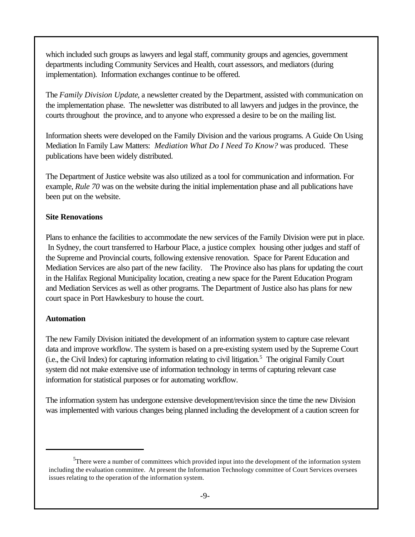which included such groups as lawyers and legal staff, community groups and agencies, government departments including Community Services and Health, court assessors, and mediators (during implementation). Information exchanges continue to be offered.

The *Family Division Update*, a newsletter created by the Department, assisted with communication on the implementation phase. The newsletter was distributed to all lawyers and judges in the province, the courts throughout the province, and to anyone who expressed a desire to be on the mailing list.

Information sheets were developed on the Family Division and the various programs. A Guide On Using Mediation In Family Law Matters: *Mediation What Do I Need To Know?* was produced. These publications have been widely distributed.

The Department of Justice website was also utilized as a tool for communication and information. For example, *Rule 70* was on the website during the initial implementation phase and all publications have been put on the website.

#### **Site Renovations**

Plans to enhance the facilities to accommodate the new services of the Family Division were put in place. In Sydney, the court transferred to Harbour Place, a justice complex housing other judges and staff of the Supreme and Provincial courts, following extensive renovation. Space for Parent Education and Mediation Services are also part of the new facility. The Province also has plans for updating the court in the Halifax Regional Municipality location, creating a new space for the Parent Education Program and Mediation Services as well as other programs. The Department of Justice also has plans for new court space in Port Hawkesbury to house the court.

#### **Automation**

The new Family Division initiated the development of an information system to capture case relevant data and improve workflow. The system is based on a pre-existing system used by the Supreme Court (i.e., the Civil Index) for capturing information relating to civil litigation.<sup>5</sup> The original Family Court system did not make extensive use of information technology in terms of capturing relevant case information for statistical purposes or for automating workflow.

The information system has undergone extensive development/revision since the time the new Division was implemented with various changes being planned including the development of a caution screen for

<sup>&</sup>lt;sup>5</sup>There were a number of committees which provided input into the development of the information system including the evaluation committee. At present the Information Technology committee of Court Services oversees issues relating to the operation of the information system.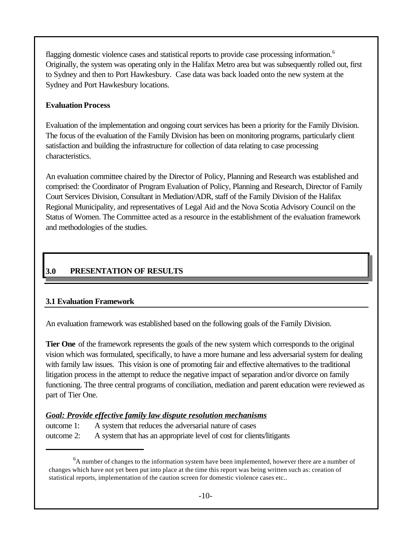flagging domestic violence cases and statistical reports to provide case processing information.<sup>6</sup> Originally, the system was operating only in the Halifax Metro area but was subsequently rolled out, first to Sydney and then to Port Hawkesbury. Case data was back loaded onto the new system at the Sydney and Port Hawkesbury locations.

#### **Evaluation Process**

Evaluation of the implementation and ongoing court services has been a priority for the Family Division. The focus of the evaluation of the Family Division has been on monitoring programs, particularly client satisfaction and building the infrastructure for collection of data relating to case processing characteristics.

An evaluation committee chaired by the Director of Policy, Planning and Research was established and comprised: the Coordinator of Program Evaluation of Policy, Planning and Research, Director of Family Court Services Division, Consultant in Mediation/ADR, staff of the Family Division of the Halifax Regional Municipality, and representatives of Legal Aid and the Nova Scotia Advisory Council on the Status of Women. The Committee acted as a resource in the establishment of the evaluation framework and methodologies of the studies.

# **3.0 PRESENTATION OF RESULTS**

## **3.1 Evaluation Framework**

An evaluation framework was established based on the following goals of the Family Division.

**Tier One** of the framework represents the goals of the new system which corresponds to the original vision which was formulated, specifically, to have a more humane and less adversarial system for dealing with family law issues. This vision is one of promoting fair and effective alternatives to the traditional litigation process in the attempt to reduce the negative impact of separation and/or divorce on family functioning. The three central programs of conciliation, mediation and parent education were reviewed as part of Tier One.

## *Goal: Provide effective family law dispute resolution mechanisms*

outcome 1: A system that reduces the adversarial nature of cases outcome 2: A system that has an appropriate level of cost for clients/litigants

 ${}^{6}$ A number of changes to the information system have been implemented, however there are a number of changes which have not yet been put into place at the time this report was being written such as: creation of statistical reports, implementation of the caution screen for domestic violence cases etc..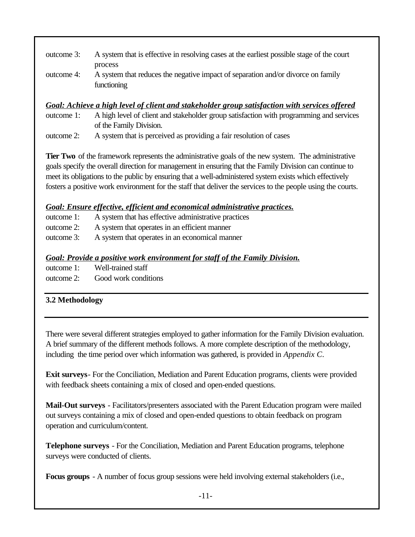| outcome 3: | A system that is effective in resolving cases at the earliest possible stage of the court                  |
|------------|------------------------------------------------------------------------------------------------------------|
| outcome 4: | process<br>A system that reduces the negative impact of separation and/or divorce on family<br>functioning |

#### *Goal: Achieve a high level of client and stakeholder group satisfaction with services offered*

outcome 1: A high level of client and stakeholder group satisfaction with programming and services of the Family Division.

outcome 2: A system that is perceived as providing a fair resolution of cases

**Tier Two** of the framework represents the administrative goals of the new system. The administrative goals specify the overall direction for management in ensuring that the Family Division can continue to meet its obligations to the public by ensuring that a well-administered system exists which effectively fosters a positive work environment for the staff that deliver the services to the people using the courts.

#### *Goal: Ensure effective, efficient and economical administrative practices.*

| outcome 1: | A system that has effective administrative practices |
|------------|------------------------------------------------------|
| outcome 2: | A system that operates in an efficient manner        |
| outcome 3: | A system that operates in an economical manner       |

#### *Goal: Provide a positive work environment for staff of the Family Division.*

| outcome 1: | Well-trained staff   |
|------------|----------------------|
| outcome 2: | Good work conditions |

## **3.2 Methodology**

There were several different strategies employed to gather information for the Family Division evaluation. A brief summary of the different methods follows. A more complete description of the methodology, including the time period over which information was gathered, is provided in *Appendix C*.

**Exit surveys**- For the Conciliation, Mediation and Parent Education programs, clients were provided with feedback sheets containing a mix of closed and open-ended questions.

**Mail-Out surveys** - Facilitators/presenters associated with the Parent Education program were mailed out surveys containing a mix of closed and open-ended questions to obtain feedback on program operation and curriculum/content.

**Telephone surveys** - For the Conciliation, Mediation and Parent Education programs, telephone surveys were conducted of clients.

**Focus groups** - A number of focus group sessions were held involving external stakeholders (i.e.,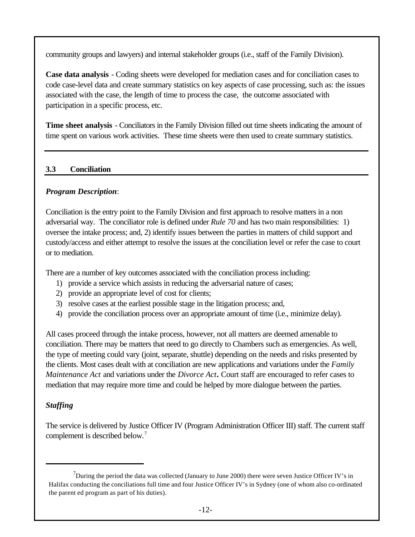community groups and lawyers) and internal stakeholder groups (i.e., staff of the Family Division).

**Case data analysis** - Coding sheets were developed for mediation cases and for conciliation cases to code case-level data and create summary statistics on key aspects of case processing, such as: the issues associated with the case, the length of time to process the case, the outcome associated with participation in a specific process, etc.

**Time sheet analysis** - Conciliators in the Family Division filled out time sheets indicating the amount of time spent on various work activities. These time sheets were then used to create summary statistics.

## **3.3 Conciliation**

## *Program Description*:

Conciliation is the entry point to the Family Division and first approach to resolve matters in a non adversarial way. The conciliator role is defined under *Rule 70* and has two main responsibilities: 1) oversee the intake process; and, 2) identify issues between the parties in matters of child support and custody/access and either attempt to resolve the issues at the conciliation level or refer the case to court or to mediation.

There are a number of key outcomes associated with the conciliation process including:

- 1) provide a service which assists in reducing the adversarial nature of cases;
- 2) provide an appropriate level of cost for clients;
- 3) resolve cases at the earliest possible stage in the litigation process; and,
- 4) provide the conciliation process over an appropriate amount of time (i.e., minimize delay).

All cases proceed through the intake process, however, not all matters are deemed amenable to conciliation. There may be matters that need to go directly to Chambers such as emergencies. As well, the type of meeting could vary (joint, separate, shuttle) depending on the needs and risks presented by the clients. Most cases dealt with at conciliation are new applications and variations under the *Family Maintenance Act* and variations under the *Divorce Act.* Court staff are encouraged to refer cases to mediation that may require more time and could be helped by more dialogue between the parties.

# *Staffing*

The service is delivered by Justice Officer IV (Program Administration Officer III) staff. The current staff complement is described below.<sup>7</sup>

<sup>&</sup>lt;sup>7</sup>During the period the data was collected (January to June 2000) there were seven Justice Officer IV's in Halifax conducting the conciliations full time and four Justice Officer IV's in Sydney (one of whom also co-ordinated the parent ed program as part of his duties).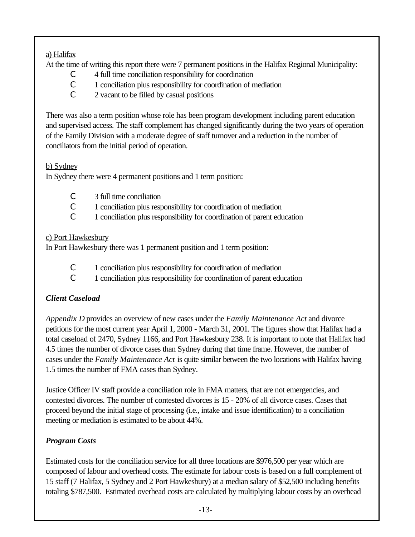## a) Halifax

At the time of writing this report there were 7 permanent positions in the Halifax Regional Municipality:

- C 4 full time conciliation responsibility for coordination
- C 1 conciliation plus responsibility for coordination of mediation
- C 2 vacant to be filled by casual positions

There was also a term position whose role has been program development including parent education and supervised access. The staff complement has changed significantly during the two years of operation of the Family Division with a moderate degree of staff turnover and a reduction in the number of conciliators from the initial period of operation.

## b) Sydney

In Sydney there were 4 permanent positions and 1 term position:

- C 3 full time conciliation
- C 1 conciliation plus responsibility for coordination of mediation
- C 1 conciliation plus responsibility for coordination of parent education

## c) Port Hawkesbury

In Port Hawkesbury there was 1 permanent position and 1 term position:

- C 1 conciliation plus responsibility for coordination of mediation
- C 1 conciliation plus responsibility for coordination of parent education

# *Client Caseload*

*Appendix D* provides an overview of new cases under the *Family Maintenance Act* and divorce petitions for the most current year April 1, 2000 - March 31, 2001. The figures show that Halifax had a total caseload of 2470, Sydney 1166, and Port Hawkesbury 238. It is important to note that Halifax had 4.5 times the number of divorce cases than Sydney during that time frame. However, the number of cases under the *Family Maintenance Act* is quite similar between the two locations with Halifax having 1.5 times the number of FMA cases than Sydney.

Justice Officer IV staff provide a conciliation role in FMA matters, that are not emergencies, and contested divorces. The number of contested divorces is 15 - 20% of all divorce cases. Cases that proceed beyond the initial stage of processing (i.e., intake and issue identification) to a conciliation meeting or mediation is estimated to be about 44%.

# *Program Costs*

Estimated costs for the conciliation service for all three locations are \$976,500 per year which are composed of labour and overhead costs. The estimate for labour costs is based on a full complement of 15 staff (7 Halifax, 5 Sydney and 2 Port Hawkesbury) at a median salary of \$52,500 including benefits totaling \$787,500. Estimated overhead costs are calculated by multiplying labour costs by an overhead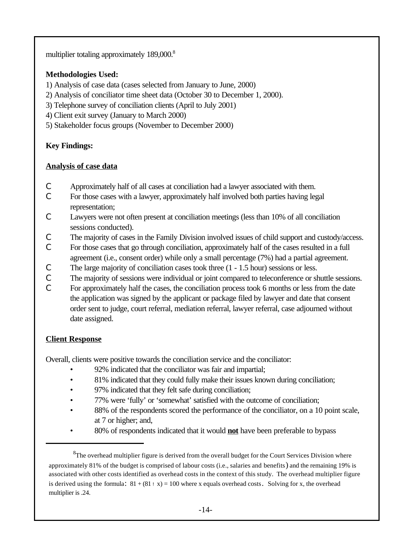multiplier totaling approximately 189,000.<sup>8</sup>

## **Methodologies Used:**

1) Analysis of case data (cases selected from January to June, 2000)

- 2) Analysis of conciliator time sheet data (October 30 to December 1, 2000).
- 3) Telephone survey of conciliation clients (April to July 2001)
- 4) Client exit survey (January to March 2000)
- 5) Stakeholder focus groups (November to December 2000)

# **Key Findings:**

## **Analysis of case data**

- C Approximately half of all cases at conciliation had a lawyer associated with them.
- C For those cases with a lawyer, approximately half involved both parties having legal representation;
- C Lawyers were not often present at conciliation meetings (less than 10% of all conciliation sessions conducted).
- C The majority of cases in the Family Division involved issues of child support and custody/access.
- C For those cases that go through conciliation, approximately half of the cases resulted in a full agreement (i.e., consent order) while only a small percentage (7%) had a partial agreement.
- C The large majority of conciliation cases took three (1 1.5 hour) sessions or less.
- C The majority of sessions were individual or joint compared to teleconference or shuttle sessions.
- C For approximately half the cases, the conciliation process took 6 months or less from the date the application was signed by the applicant or package filed by lawyer and date that consent order sent to judge, court referral, mediation referral, lawyer referral, case adjourned without date assigned.

# **Client Response**

Overall, clients were positive towards the conciliation service and the conciliator:

- 92% indicated that the conciliator was fair and impartial;
- 81% indicated that they could fully make their issues known during conciliation;
- 97% indicated that they felt safe during conciliation;
- 77% were 'fully' or 'somewhat' satisfied with the outcome of conciliation;
- 88% of the respondents scored the performance of the conciliator, on a 10 point scale, at 7 or higher; and,
- 80% of respondents indicated that it would **not** have been preferable to bypass

 ${}^{8}$ The overhead multiplier figure is derived from the overall budget for the Court Services Division where approximately 81% of the budget is comprised of labour costs (i.e., salaries and benefits) and the remaining 19% is associated with other costs identified as overhead costs in the context of this study. The overhead multiplier figure is derived using the formula:  $81 + (81 \cdot x) = 100$  where x equals overhead costs. Solving for x, the overhead multiplier is .24.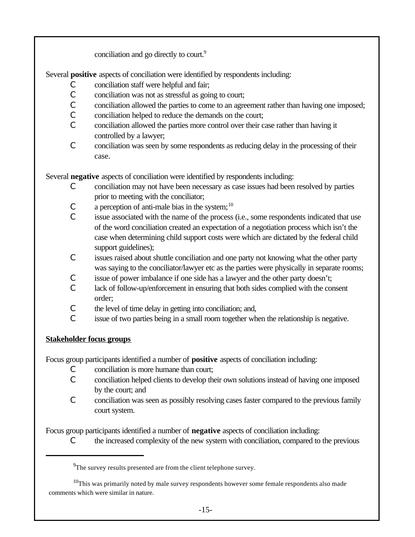conciliation and go directly to court.<sup>9</sup>

Several **positive** aspects of conciliation were identified by respondents including:

- C conciliation staff were helpful and fair;
- C conciliation was not as stressful as going to court;
- C conciliation allowed the parties to come to an agreement rather than having one imposed;
- C conciliation helped to reduce the demands on the court;
- C conciliation allowed the parties more control over their case rather than having it controlled by a lawyer;
- C conciliation was seen by some respondents as reducing delay in the processing of their case.

Several **negative** aspects of conciliation were identified by respondents including:

- C conciliation may not have been necessary as case issues had been resolved by parties prior to meeting with the conciliator;
- $\mathcal{C}$  a perception of anti-male bias in the system;<sup>10</sup>
- C issue associated with the name of the process (i.e., some respondents indicated that use of the word conciliation created an expectation of a negotiation process which isn't the case when determining child support costs were which are dictated by the federal child support guidelines);
- C issues raised about shuttle conciliation and one party not knowing what the other party was saying to the conciliator/lawyer etc as the parties were physically in separate rooms;
- C issue of power imbalance if one side has a lawyer and the other party doesn't;
- C lack of follow-up/enforcement in ensuring that both sides complied with the consent order;
- C the level of time delay in getting into conciliation; and,
- C issue of two parties being in a small room together when the relationship is negative.

## **Stakeholder focus groups**

Focus group participants identified a number of **positive** aspects of conciliation including:

- C conciliation is more humane than court;
- C conciliation helped clients to develop their own solutions instead of having one imposed by the court; and
- C conciliation was seen as possibly resolving cases faster compared to the previous family court system.

Focus group participants identified a number of **negative** aspects of conciliation including:

C the increased complexity of the new system with conciliation, compared to the previous

 $9^9$ The survey results presented are from the client telephone survey.

<sup>&</sup>lt;sup>10</sup>This was primarily noted by male survey respondents however some female respondents also made comments which were similar in nature.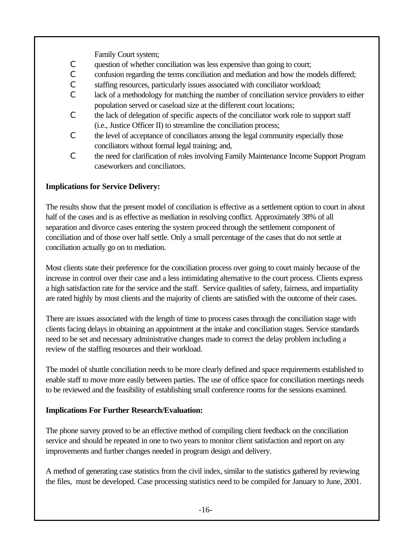Family Court system;

- C question of whether conciliation was less expensive than going to court;
- C confusion regarding the terms conciliation and mediation and how the models differed;
- C staffing resources, particularly issues associated with conciliator workload;
- C lack of a methodology for matching the number of conciliation service providers to either population served or caseload size at the different court locations;
- C the lack of delegation of specific aspects of the conciliator work role to support staff (i.e., Justice Officer II) to streamline the conciliation process;
- C the level of acceptance of conciliators among the legal community especially those conciliators without formal legal training; and,
- C the need for clarification of roles involving Family Maintenance Income Support Program caseworkers and conciliators.

## **Implications for Service Delivery:**

The results show that the present model of conciliation is effective as a settlement option to court in about half of the cases and is as effective as mediation in resolving conflict. Approximately 38% of all separation and divorce cases entering the system proceed through the settlement component of conciliation and of those over half settle. Only a small percentage of the cases that do not settle at conciliation actually go on to mediation.

Most clients state their preference for the conciliation process over going to court mainly because of the increase in control over their case and a less intimidating alternative to the court process. Clients express a high satisfaction rate for the service and the staff. Service qualities of safety, fairness, and impartiality are rated highly by most clients and the majority of clients are satisfied with the outcome of their cases.

There are issues associated with the length of time to process cases through the conciliation stage with clients facing delays in obtaining an appointment at the intake and conciliation stages. Service standards need to be set and necessary administrative changes made to correct the delay problem including a review of the staffing resources and their workload.

The model of shuttle conciliation needs to be more clearly defined and space requirements established to enable staff to move more easily between parties. The use of office space for conciliation meetings needs to be reviewed and the feasibility of establishing small conference rooms for the sessions examined.

#### **Implications For Further Research/Evaluation:**

The phone survey proved to be an effective method of compiling client feedback on the conciliation service and should be repeated in one to two years to monitor client satisfaction and report on any improvements and further changes needed in program design and delivery.

A method of generating case statistics from the civil index, similar to the statistics gathered by reviewing the files, must be developed. Case processing statistics need to be compiled for January to June, 2001.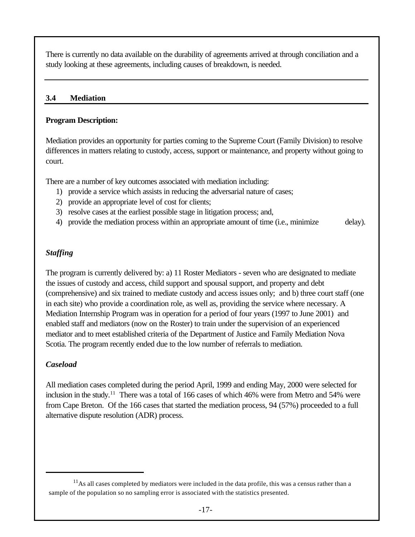There is currently no data available on the durability of agreements arrived at through conciliation and a study looking at these agreements, including causes of breakdown, is needed.

#### **3.4 Mediation**

#### **Program Description:**

Mediation provides an opportunity for parties coming to the Supreme Court (Family Division) to resolve differences in matters relating to custody, access, support or maintenance, and property without going to court.

There are a number of key outcomes associated with mediation including:

- 1) provide a service which assists in reducing the adversarial nature of cases;
- 2) provide an appropriate level of cost for clients;
- 3) resolve cases at the earliest possible stage in litigation process; and,
- 4) provide the mediation process within an appropriate amount of time (i.e., minimize delay).

#### *Staffing*

The program is currently delivered by: a) 11 Roster Mediators - seven who are designated to mediate the issues of custody and access, child support and spousal support, and property and debt (comprehensive) and six trained to mediate custody and access issues only; and b) three court staff (one in each site) who provide a coordination role, as well as, providing the service where necessary. A Mediation Internship Program was in operation for a period of four years (1997 to June 2001) and enabled staff and mediators (now on the Roster) to train under the supervision of an experienced mediator and to meet established criteria of the Department of Justice and Family Mediation Nova Scotia. The program recently ended due to the low number of referrals to mediation.

## *Caseload*

All mediation cases completed during the period April, 1999 and ending May, 2000 were selected for inclusion in the study.<sup>11</sup> There was a total of 166 cases of which 46% were from Metro and 54% were from Cape Breton. Of the 166 cases that started the mediation process, 94 (57%) proceeded to a full alternative dispute resolution (ADR) process.

 $11$ As all cases completed by mediators were included in the data profile, this was a census rather than a sample of the population so no sampling error is associated with the statistics presented.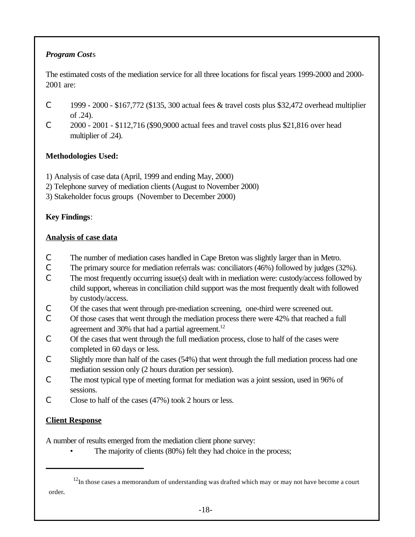# *Program Cost*s

The estimated costs of the mediation service for all three locations for fiscal years 1999-2000 and 2000- 2001 are:

- C 1999 2000 \$167,772 (\$135, 300 actual fees & travel costs plus \$32,472 overhead multiplier of .24).
- C 2000 2001 \$112,716 (\$90,9000 actual fees and travel costs plus \$21,816 over head multiplier of .24).

# **Methodologies Used:**

- 1) Analysis of case data (April, 1999 and ending May, 2000)
- 2) Telephone survey of mediation clients (August to November 2000)
- 3) Stakeholder focus groups (November to December 2000)

# **Key Findings**:

# **Analysis of case data**

- C The number of mediation cases handled in Cape Breton was slightly larger than in Metro.
- C The primary source for mediation referrals was: conciliators (46%) followed by judges (32%).
- C The most frequently occurring issue(s) dealt with in mediation were: custody/access followed by child support, whereas in conciliation child support was the most frequently dealt with followed by custody/access.
- C Of the cases that went through pre-mediation screening, one-third were screened out.
- C Of those cases that went through the mediation process there were 42% that reached a full agreement and 30% that had a partial agreement.<sup>12</sup>
- C Of the cases that went through the full mediation process, close to half of the cases were completed in 60 days or less.
- C Slightly more than half of the cases (54%) that went through the full mediation process had one mediation session only (2 hours duration per session).
- C The most typical type of meeting format for mediation was a joint session, used in 96% of sessions.
- C Close to half of the cases  $(47%)$  took 2 hours or less.

# **Client Response**

A number of results emerged from the mediation client phone survey:

The majority of clients (80%) felt they had choice in the process;

 $12$ In those cases a memorandum of understanding was drafted which may or may not have become a court order.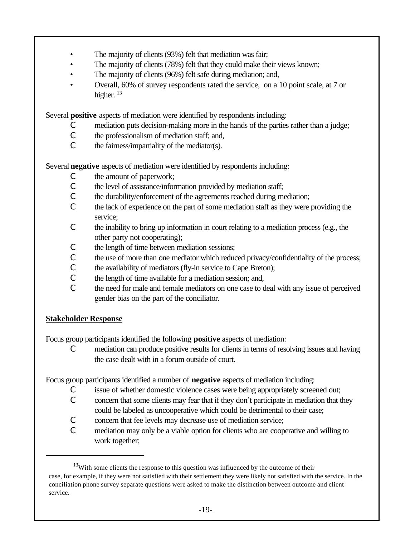- The majority of clients (93%) felt that mediation was fair;
- The majority of clients (78%) felt that they could make their views known;
- The majority of clients (96%) felt safe during mediation; and,
- Overall, 60% of survey respondents rated the service, on a 10 point scale, at 7 or higher.  $13$

Several **positive** aspects of mediation were identified by respondents including:

- C mediation puts decision-making more in the hands of the parties rather than a judge;
- C the professionalism of mediation staff; and,
- $\mathcal{C}$  the fairness/impartiality of the mediator(s).

Several **negative** aspects of mediation were identified by respondents including:

- C the amount of paperwork;
- C the level of assistance/information provided by mediation staff;
- C the durability/enforcement of the agreements reached during mediation;
- C the lack of experience on the part of some mediation staff as they were providing the service;
- C the inability to bring up information in court relating to a mediation process (e.g., the other party not cooperating);
- C the length of time between mediation sessions;
- C the use of more than one mediator which reduced privacy/confidentiality of the process;
- C the availability of mediators (fly-in service to Cape Breton);
- C the length of time available for a mediation session; and,
- C the need for male and female mediators on one case to deal with any issue of perceived gender bias on the part of the conciliator.

## **Stakeholder Response**

Focus group participants identified the following **positive** aspects of mediation:

C mediation can produce positive results for clients in terms of resolving issues and having the case dealt with in a forum outside of court.

Focus group participants identified a number of **negative** aspects of mediation including:

- C issue of whether domestic violence cases were being appropriately screened out;
- C concern that some clients may fear that if they don't participate in mediation that they could be labeled as uncooperative which could be detrimental to their case;
- C concern that fee levels may decrease use of mediation service;
- C mediation may only be a viable option for clients who are cooperative and willing to work together;

 $13$ With some clients the response to this question was influenced by the outcome of their case, for example, if they were not satisfied with their settlement they were likely not satisfied with the service. In the conciliation phone survey separate questions were asked to make the distinction between outcome and client service.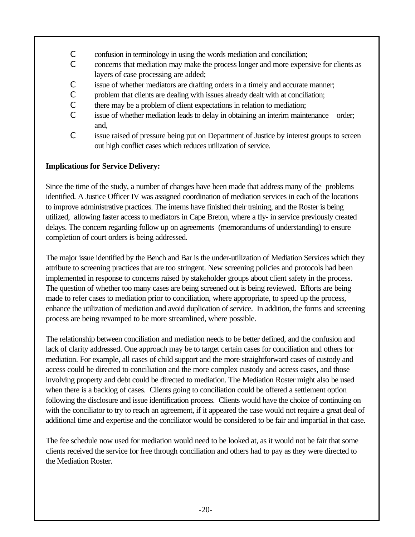- C confusion in terminology in using the words mediation and conciliation;
- C concerns that mediation may make the process longer and more expensive for clients as layers of case processing are added;
- C issue of whether mediators are drafting orders in a timely and accurate manner;
- C problem that clients are dealing with issues already dealt with at conciliation;
- C there may be a problem of client expectations in relation to mediation;
- C issue of whether mediation leads to delay in obtaining an interim maintenance order; and,
- C issue raised of pressure being put on Department of Justice by interest groups to screen out high conflict cases which reduces utilization of service.

## **Implications for Service Delivery:**

Since the time of the study, a number of changes have been made that address many of the problems identified. A Justice Officer IV was assigned coordination of mediation services in each of the locations to improve administrative practices. The interns have finished their training, and the Roster is being utilized, allowing faster access to mediators in Cape Breton, where a fly- in service previously created delays. The concern regarding follow up on agreements (memorandums of understanding) to ensure completion of court orders is being addressed.

The major issue identified by the Bench and Bar is the under-utilization of Mediation Services which they attribute to screening practices that are too stringent. New screening policies and protocols had been implemented in response to concerns raised by stakeholder groups about client safety in the process. The question of whether too many cases are being screened out is being reviewed. Efforts are being made to refer cases to mediation prior to conciliation, where appropriate, to speed up the process, enhance the utilization of mediation and avoid duplication of service. In addition, the forms and screening process are being revamped to be more streamlined, where possible.

The relationship between conciliation and mediation needs to be better defined, and the confusion and lack of clarity addressed. One approach may be to target certain cases for conciliation and others for mediation. For example, all cases of child support and the more straightforward cases of custody and access could be directed to conciliation and the more complex custody and access cases, and those involving property and debt could be directed to mediation. The Mediation Roster might also be used when there is a backlog of cases. Clients going to conciliation could be offered a settlement option following the disclosure and issue identification process. Clients would have the choice of continuing on with the conciliator to try to reach an agreement, if it appeared the case would not require a great deal of additional time and expertise and the conciliator would be considered to be fair and impartial in that case.

The fee schedule now used for mediation would need to be looked at, as it would not be fair that some clients received the service for free through conciliation and others had to pay as they were directed to the Mediation Roster.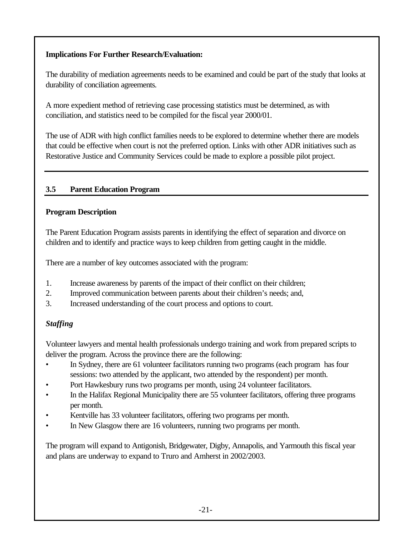## **Implications For Further Research/Evaluation:**

The durability of mediation agreements needs to be examined and could be part of the study that looks at durability of conciliation agreements.

A more expedient method of retrieving case processing statistics must be determined, as with conciliation, and statistics need to be compiled for the fiscal year 2000/01.

The use of ADR with high conflict families needs to be explored to determine whether there are models that could be effective when court is not the preferred option. Links with other ADR initiatives such as Restorative Justice and Community Services could be made to explore a possible pilot project.

## **3.5 Parent Education Program**

## **Program Description**

The Parent Education Program assists parents in identifying the effect of separation and divorce on children and to identify and practice ways to keep children from getting caught in the middle.

There are a number of key outcomes associated with the program:

- 1. Increase awareness by parents of the impact of their conflict on their children;
- 2. Improved communication between parents about their children's needs; and,
- 3. Increased understanding of the court process and options to court.

# *Staffing*

Volunteer lawyers and mental health professionals undergo training and work from prepared scripts to deliver the program. Across the province there are the following:

- In Sydney, there are 61 volunteer facilitators running two programs (each program has four sessions: two attended by the applicant, two attended by the respondent) per month.
- Port Hawkesbury runs two programs per month, using 24 volunteer facilitators.
- In the Halifax Regional Municipality there are 55 volunteer facilitators, offering three programs per month.
- Kentville has 33 volunteer facilitators, offering two programs per month.
- In New Glasgow there are 16 volunteers, running two programs per month.

The program will expand to Antigonish, Bridgewater, Digby, Annapolis, and Yarmouth this fiscal year and plans are underway to expand to Truro and Amherst in 2002/2003.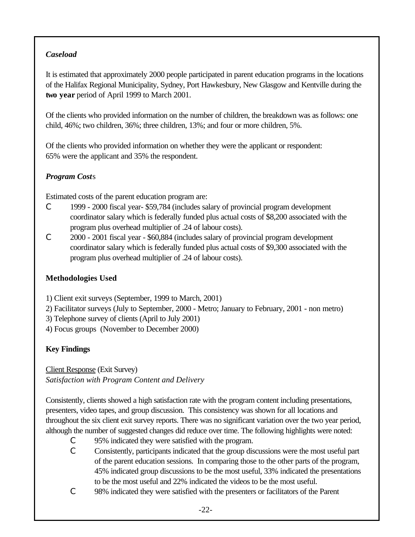# *Caseload*

It is estimated that approximately 2000 people participated in parent education programs in the locations of the Halifax Regional Municipality, Sydney, Port Hawkesbury, New Glasgow and Kentville during the **two year** period of April 1999 to March 2001.

Of the clients who provided information on the number of children, the breakdown was as follows: one child, 46%; two children, 36%; three children, 13%; and four or more children, 5%.

Of the clients who provided information on whether they were the applicant or respondent: 65% were the applicant and 35% the respondent.

# *Program Cost*s

Estimated costs of the parent education program are:

- C 1999 2000 fiscal year- \$59,784 (includes salary of provincial program development coordinator salary which is federally funded plus actual costs of \$8,200 associated with the program plus overhead multiplier of .24 of labour costs).
- C 2000 2001 fiscal year \$60,884 (includes salary of provincial program development coordinator salary which is federally funded plus actual costs of \$9,300 associated with the program plus overhead multiplier of .24 of labour costs).

# **Methodologies Used**

1) Client exit surveys (September, 1999 to March, 2001)

- 2) Facilitator surveys (July to September, 2000 Metro; January to February, 2001 non metro)
- 3) Telephone survey of clients (April to July 2001)
- 4) Focus groups (November to December 2000)

# **Key Findings**

Client Response (Exit Survey) *Satisfaction with Program Content and Delivery* 

Consistently, clients showed a high satisfaction rate with the program content including presentations, presenters, video tapes, and group discussion. This consistency was shown for all locations and throughout the six client exit survey reports. There was no significant variation over the two year period, although the number of suggested changes did reduce over time. The following highlights were noted:

- C 95% indicated they were satisfied with the program.
- C Consistently, participants indicated that the group discussions were the most useful part of the parent education sessions. In comparing those to the other parts of the program, 45% indicated group discussions to be the most useful, 33% indicated the presentations to be the most useful and 22% indicated the videos to be the most useful.
- C 98% indicated they were satisfied with the presenters or facilitators of the Parent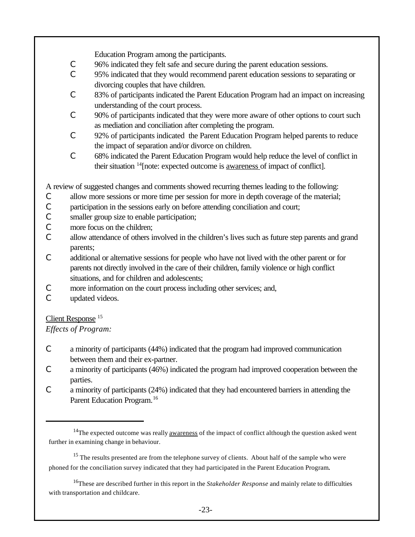Education Program among the participants.

- C 96% indicated they felt safe and secure during the parent education sessions.
- C 95% indicated that they would recommend parent education sessions to separating or divorcing couples that have children.
- C 83% of participants indicated the Parent Education Program had an impact on increasing understanding of the court process.
- C 90% of participants indicated that they were more aware of other options to court such as mediation and conciliation after completing the program.
- C 92% of participants indicated the Parent Education Program helped parents to reduce the impact of separation and/or divorce on children.
- C 68% indicated the Parent Education Program would help reduce the level of conflict in their situation <sup>14</sup>[note: expected outcome is awareness of impact of conflict].

A review of suggested changes and comments showed recurring themes leading to the following:

- C allow more sessions or more time per session for more in depth coverage of the material;
- C participation in the sessions early on before attending conciliation and court;
- C smaller group size to enable participation;
- C more focus on the children;
- C allow attendance of others involved in the children's lives such as future step parents and grand parents;
- C additional or alternative sessions for people who have not lived with the other parent or for parents not directly involved in the care of their children, family violence or high conflict situations, and for children and adolescents;
- C more information on the court process including other services; and,
- C updated videos.

# Client Response <sup>15</sup>

*Effects of Program:*

- C a minority of participants (44%) indicated that the program had improved communication between them and their ex-partner.
- C a minority of participants (46%) indicated the program had improved cooperation between the parties.
- C a minority of participants (24%) indicated that they had encountered barriers in attending the Parent Education Program.<sup>16</sup>

 $14$ The expected outcome was really <u>awareness</u> of the impact of conflict although the question asked went further in examining change in behaviour.

<sup>&</sup>lt;sup>15</sup> The results presented are from the telephone survey of clients. About half of the sample who were phoned for the conciliation survey indicated that they had participated in the Parent Education Program.

<sup>16</sup>These are described further in this report in the *Stakeholder Response* and mainly relate to difficulties with transportation and childcare.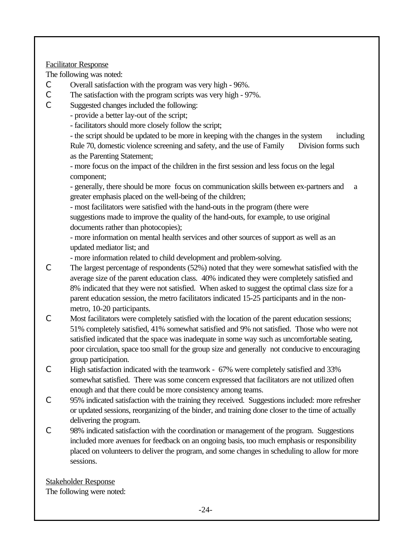#### Facilitator Response

The following was noted:

- C Overall satisfaction with the program was very high 96%.
- C The satisfaction with the program scripts was very high 97%.
- C Suggested changes included the following:
	- provide a better lay-out of the script;
	- facilitators should more closely follow the script;

- the script should be updated to be more in keeping with the changes in the system including Rule 70, domestic violence screening and safety, and the use of Family Division forms such as the Parenting Statement;

- more focus on the impact of the children in the first session and less focus on the legal component;

- generally, there should be more focus on communication skills between ex-partners and a greater emphasis placed on the well-being of the children;

- most facilitators were satisfied with the hand-outs in the program (there were suggestions made to improve the quality of the hand-outs, for example, to use original documents rather than photocopies);

- more information on mental health services and other sources of support as well as an updated mediator list; and

- more information related to child development and problem-solving.

- C The largest percentage of respondents (52%) noted that they were somewhat satisfied with the average size of the parent education class. 40% indicated they were completely satisfied and 8% indicated that they were not satisfied. When asked to suggest the optimal class size for a parent education session, the metro facilitators indicated 15-25 participants and in the nonmetro, 10-20 participants.
- C Most facilitators were completely satisfied with the location of the parent education sessions; 51% completely satisfied, 41% somewhat satisfied and 9% not satisfied. Those who were not satisfied indicated that the space was inadequate in some way such as uncomfortable seating, poor circulation, space too small for the group size and generally not conducive to encouraging group participation.
- C High satisfaction indicated with the teamwork 67% were completely satisfied and 33% somewhat satisfied. There was some concern expressed that facilitators are not utilized often enough and that there could be more consistency among teams.
- C 95% indicated satisfaction with the training they received. Suggestions included: more refresher or updated sessions, reorganizing of the binder, and training done closer to the time of actually delivering the program.
- C 98% indicated satisfaction with the coordination or management of the program. Suggestions included more avenues for feedback on an ongoing basis, too much emphasis or responsibility placed on volunteers to deliver the program, and some changes in scheduling to allow for more sessions.

Stakeholder Response The following were noted: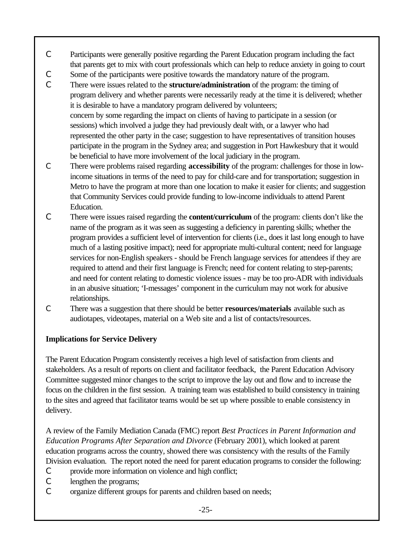- C Participants were generally positive regarding the Parent Education program including the fact that parents get to mix with court professionals which can help to reduce anxiety in going to court
- C Some of the participants were positive towards the mandatory nature of the program.
- C There were issues related to the **structure/administration** of the program: the timing of program delivery and whether parents were necessarily ready at the time it is delivered; whether it is desirable to have a mandatory program delivered by volunteers; concern by some regarding the impact on clients of having to participate in a session (or sessions) which involved a judge they had previously dealt with, or a lawyer who had represented the other party in the case; suggestion to have representatives of transition houses participate in the program in the Sydney area; and suggestion in Port Hawkesbury that it would be beneficial to have more involvement of the local judiciary in the program.
- C There were problems raised regarding **accessibility** of the program: challenges for those in lowincome situations in terms of the need to pay for child-care and for transportation; suggestion in Metro to have the program at more than one location to make it easier for clients; and suggestion that Community Services could provide funding to low-income individuals to attend Parent Education.
- C There were issues raised regarding the **content/curriculum** of the program: clients don't like the name of the program as it was seen as suggesting a deficiency in parenting skills; whether the program provides a sufficient level of intervention for clients (i.e., does it last long enough to have much of a lasting positive impact); need for appropriate multi-cultural content; need for language services for non-English speakers - should be French language services for attendees if they are required to attend and their first language is French; need for content relating to step-parents; and need for content relating to domestic violence issues - may be too pro-ADR with individuals in an abusive situation; 'I-messages' component in the curriculum may not work for abusive relationships.
- C There was a suggestion that there should be better **resources/materials** available such as audiotapes, videotapes, material on a Web site and a list of contacts/resources.

## **Implications for Service Delivery**

The Parent Education Program consistently receives a high level of satisfaction from clients and stakeholders. As a result of reports on client and facilitator feedback, the Parent Education Advisory Committee suggested minor changes to the script to improve the lay out and flow and to increase the focus on the children in the first session. A training team was established to build consistency in training to the sites and agreed that facilitator teams would be set up where possible to enable consistency in delivery.

A review of the Family Mediation Canada (FMC) report *Best Practices in Parent Information and Education Programs After Separation and Divorce* (February 2001), which looked at parent education programs across the country, showed there was consistency with the results of the Family Division evaluation. The report noted the need for parent education programs to consider the following:

- C provide more information on violence and high conflict;
- C lengthen the programs;
- C organize different groups for parents and children based on needs;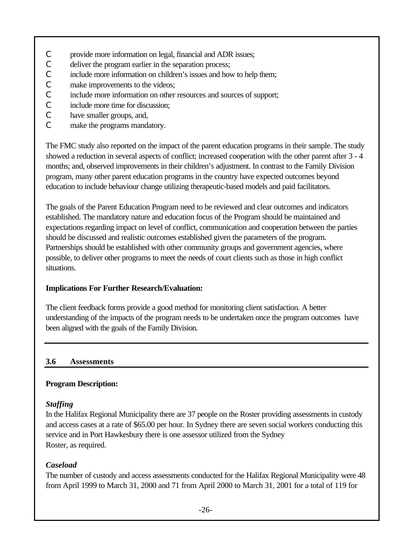- C provide more information on legal, financial and ADR issues;
- C deliver the program earlier in the separation process;
- C include more information on children's issues and how to help them;
- C make improvements to the videos;
- C include more information on other resources and sources of support;
- C include more time for discussion;
- C have smaller groups, and,
- C make the programs mandatory.

The FMC study also reported on the impact of the parent education programs in their sample. The study showed a reduction in several aspects of conflict; increased cooperation with the other parent after 3 - 4 months; and, observed improvements in their children's adjustment. In contrast to the Family Division program, many other parent education programs in the country have expected outcomes beyond education to include behaviour change utilizing therapeutic-based models and paid facilitators.

The goals of the Parent Education Program need to be reviewed and clear outcomes and indicators established. The mandatory nature and education focus of the Program should be maintained and expectations regarding impact on level of conflict, communication and cooperation between the parties should be discussed and realistic outcomes established given the parameters of the program. Partnerships should be established with other community groups and government agencies, where possible, to deliver other programs to meet the needs of court clients such as those in high conflict situations.

## **Implications For Further Research/Evaluation:**

The client feedback forms provide a good method for monitoring client satisfaction. A better understanding of the impacts of the program needs to be undertaken once the program outcomes have been aligned with the goals of the Family Division.

## **3.6 Assessments**

## **Program Description:**

## *Staffing*

In the Halifax Regional Municipality there are 37 people on the Roster providing assessments in custody and access cases at a rate of \$65.00 per hour. In Sydney there are seven social workers conducting this service and in Port Hawkesbury there is one assessor utilized from the Sydney Roster, as required.

# *Caseload*

The number of custody and access assessments conducted for the Halifax Regional Municipality were 48 from April 1999 to March 31, 2000 and 71 from April 2000 to March 31, 2001 for a total of 119 for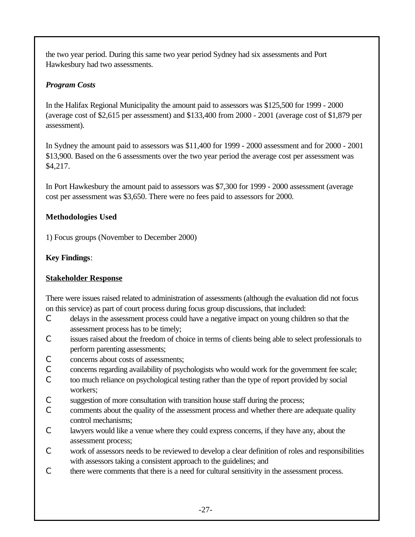the two year period. During this same two year period Sydney had six assessments and Port Hawkesbury had two assessments.

## *Program Costs*

In the Halifax Regional Municipality the amount paid to assessors was \$125,500 for 1999 - 2000 (average cost of \$2,615 per assessment) and \$133,400 from 2000 - 2001 (average cost of \$1,879 per assessment).

In Sydney the amount paid to assessors was \$11,400 for 1999 - 2000 assessment and for 2000 - 2001 \$13,900. Based on the 6 assessments over the two year period the average cost per assessment was \$4,217.

In Port Hawkesbury the amount paid to assessors was \$7,300 for 1999 - 2000 assessment (average cost per assessment was \$3,650. There were no fees paid to assessors for 2000.

## **Methodologies Used**

1) Focus groups (November to December 2000)

## **Key Findings**:

## **Stakeholder Response**

There were issues raised related to administration of assessments (although the evaluation did not focus on this service) as part of court process during focus group discussions, that included:

- C delays in the assessment process could have a negative impact on young children so that the assessment process has to be timely;
- C issues raised about the freedom of choice in terms of clients being able to select professionals to perform parenting assessments;
- C concerns about costs of assessments;
- C concerns regarding availability of psychologists who would work for the government fee scale;
- C too much reliance on psychological testing rather than the type of report provided by social workers;
- C suggestion of more consultation with transition house staff during the process;
- C comments about the quality of the assessment process and whether there are adequate quality control mechanisms;
- C lawyers would like a venue where they could express concerns, if they have any, about the assessment process;
- C work of assessors needs to be reviewed to develop a clear definition of roles and responsibilities with assessors taking a consistent approach to the guidelines; and
- C there were comments that there is a need for cultural sensitivity in the assessment process.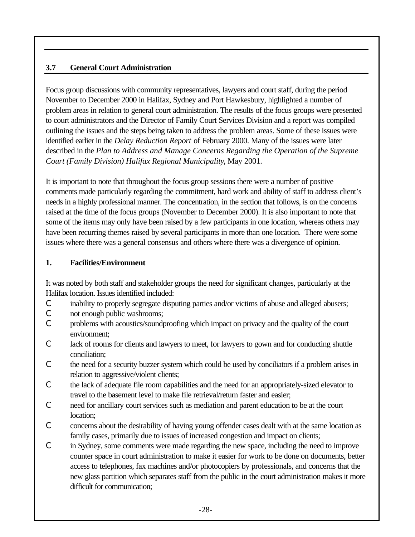## **3.7 General Court Administration**

Focus group discussions with community representatives, lawyers and court staff, during the period November to December 2000 in Halifax, Sydney and Port Hawkesbury, highlighted a number of problem areas in relation to general court administration. The results of the focus groups were presented to court administrators and the Director of Family Court Services Division and a report was compiled outlining the issues and the steps being taken to address the problem areas. Some of these issues were identified earlier in the *Delay Reduction Report* of February 2000. Many of the issues were later described in the *Plan to Address and Manage Concerns Regarding the Operation of the Supreme Court (Family Division) Halifax Regional Municipality*, May 2001.

It is important to note that throughout the focus group sessions there were a number of positive comments made particularly regarding the commitment, hard work and ability of staff to address client's needs in a highly professional manner. The concentration, in the section that follows, is on the concerns raised at the time of the focus groups (November to December 2000). It is also important to note that some of the items may only have been raised by a few participants in one location, whereas others may have been recurring themes raised by several participants in more than one location. There were some issues where there was a general consensus and others where there was a divergence of opinion.

#### **1. Facilities/Environment**

It was noted by both staff and stakeholder groups the need for significant changes, particularly at the Halifax location. Issues identified included:

- C inability to properly segregate disputing parties and/or victims of abuse and alleged abusers;
- C not enough public washrooms;
- C problems with acoustics/soundproofing which impact on privacy and the quality of the court environment;
- C lack of rooms for clients and lawyers to meet, for lawyers to gown and for conducting shuttle conciliation;
- C the need for a security buzzer system which could be used by conciliators if a problem arises in relation to aggressive/violent clients;
- C the lack of adequate file room capabilities and the need for an appropriately-sized elevator to travel to the basement level to make file retrieval/return faster and easier;
- C need for ancillary court services such as mediation and parent education to be at the court location;
- C concerns about the desirability of having young offender cases dealt with at the same location as family cases, primarily due to issues of increased congestion and impact on clients;
- C in Sydney, some comments were made regarding the new space, including the need to improve counter space in court administration to make it easier for work to be done on documents, better access to telephones, fax machines and/or photocopiers by professionals, and concerns that the new glass partition which separates staff from the public in the court administration makes it more difficult for communication;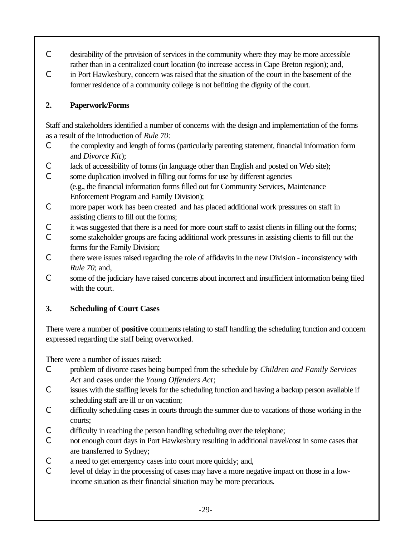- C desirability of the provision of services in the community where they may be more accessible rather than in a centralized court location (to increase access in Cape Breton region); and,
- C in Port Hawkesbury, concern was raised that the situation of the court in the basement of the former residence of a community college is not befitting the dignity of the court.

# **2. Paperwork/Forms**

Staff and stakeholders identified a number of concerns with the design and implementation of the forms as a result of the introduction of *Rule 70*:

- C the complexity and length of forms (particularly parenting statement, financial information form and *Divorce Kit*);
- C lack of accessibility of forms (in language other than English and posted on Web site);

C some duplication involved in filling out forms for use by different agencies (e.g., the financial information forms filled out for Community Services, Maintenance Enforcement Program and Family Division);

- C more paper work has been created and has placed additional work pressures on staff in assisting clients to fill out the forms;
- C it was suggested that there is a need for more court staff to assist clients in filling out the forms;
- C some stakeholder groups are facing additional work pressures in assisting clients to fill out the forms for the Family Division;
- C there were issues raised regarding the role of affidavits in the new Division inconsistency with *Rule 70*; and,
- C some of the judiciary have raised concerns about incorrect and insufficient information being filed with the court.

# **3. Scheduling of Court Cases**

There were a number of **positive** comments relating to staff handling the scheduling function and concern expressed regarding the staff being overworked.

There were a number of issues raised:

- C problem of divorce cases being bumped from the schedule by *Children and Family Services Act* and cases under the *Young Offenders Act*;
- C issues with the staffing levels for the scheduling function and having a backup person available if scheduling staff are ill or on vacation;
- C difficulty scheduling cases in courts through the summer due to vacations of those working in the courts;
- C difficulty in reaching the person handling scheduling over the telephone;
- C not enough court days in Port Hawkesbury resulting in additional travel/cost in some cases that are transferred to Sydney;
- C a need to get emergency cases into court more quickly; and,
- C level of delay in the processing of cases may have a more negative impact on those in a lowincome situation as their financial situation may be more precarious.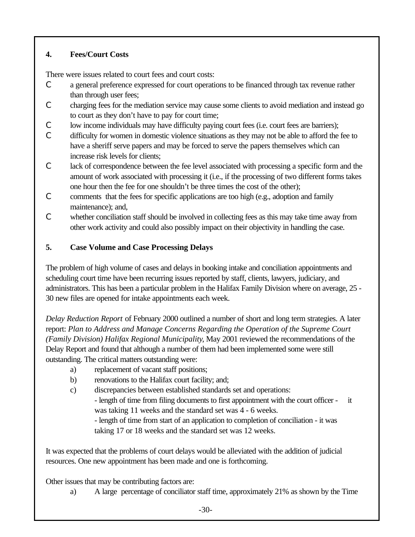# **4. Fees/Court Costs**

There were issues related to court fees and court costs:

- C a general preference expressed for court operations to be financed through tax revenue rather than through user fees;
- C charging fees for the mediation service may cause some clients to avoid mediation and instead go to court as they don't have to pay for court time;
- C low income individuals may have difficulty paying court fees (i.e. court fees are barriers);
- C difficulty for women in domestic violence situations as they may not be able to afford the fee to have a sheriff serve papers and may be forced to serve the papers themselves which can increase risk levels for clients;
- C lack of correspondence between the fee level associated with processing a specific form and the amount of work associated with processing it (i.e., if the processing of two different forms takes one hour then the fee for one shouldn't be three times the cost of the other);
- C comments that the fees for specific applications are too high (e.g., adoption and family maintenance); and,
- C whether conciliation staff should be involved in collecting fees as this may take time away from other work activity and could also possibly impact on their objectivity in handling the case.

# **5. Case Volume and Case Processing Delays**

The problem of high volume of cases and delays in booking intake and conciliation appointments and scheduling court time have been recurring issues reported by staff, clients, lawyers, judiciary, and administrators. This has been a particular problem in the Halifax Family Division where on average, 25 - 30 new files are opened for intake appointments each week.

*Delay Reduction Report* of February 2000 outlined a number of short and long term strategies. A later report: *Plan to Address and Manage Concerns Regarding the Operation of the Supreme Court (Family Division) Halifax Regional Municipality*, May 2001 reviewed the recommendations of the Delay Report and found that although a number of them had been implemented some were still outstanding. The critical matters outstanding were:

- a) replacement of vacant staff positions;
- b) renovations to the Halifax court facility; and;
- c) discrepancies between established standards set and operations:

- length of time from filing documents to first appointment with the court officer - it was taking 11 weeks and the standard set was 4 - 6 weeks.

- length of time from start of an application to completion of conciliation - it was taking 17 or 18 weeks and the standard set was 12 weeks.

It was expected that the problems of court delays would be alleviated with the addition of judicial resources. One new appointment has been made and one is forthcoming.

Other issues that may be contributing factors are:

a) A large percentage of conciliator staff time, approximately 21% as shown by the Time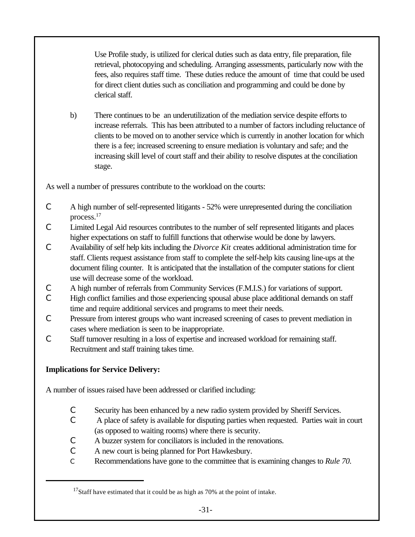Use Profile study, is utilized for clerical duties such as data entry, file preparation, file retrieval, photocopying and scheduling. Arranging assessments, particularly now with the fees, also requires staff time. These duties reduce the amount of time that could be used for direct client duties such as conciliation and programming and could be done by clerical staff.

b) There continues to be an underutilization of the mediation service despite efforts to increase referrals. This has been attributed to a number of factors including reluctance of clients to be moved on to another service which is currently in another location for which there is a fee; increased screening to ensure mediation is voluntary and safe; and the increasing skill level of court staff and their ability to resolve disputes at the conciliation stage.

As well a number of pressures contribute to the workload on the courts:

- C A high number of self-represented litigants 52% were unrepresented during the conciliation process.<sup>17</sup>
- C Limited Legal Aid resources contributes to the number of self represented litigants and places higher expectations on staff to fulfill functions that otherwise would be done by lawyers.
- C Availability of self help kits including the *Divorce Kit* creates additional administration time for staff. Clients request assistance from staff to complete the self-help kits causing line-ups at the document filing counter. It is anticipated that the installation of the computer stations for client use will decrease some of the workload.
- C A high number of referrals from Community Services (F.M.I.S.) for variations of support.
- C High conflict families and those experiencing spousal abuse place additional demands on staff time and require additional services and programs to meet their needs.
- C Pressure from interest groups who want increased screening of cases to prevent mediation in cases where mediation is seen to be inappropriate.
- C Staff turnover resulting in a loss of expertise and increased workload for remaining staff. Recruitment and staff training takes time.

# **Implications for Service Delivery:**

A number of issues raised have been addressed or clarified including:

- C Security has been enhanced by a new radio system provided by Sheriff Services.
- C A place of safety is available for disputing parties when requested. Parties wait in court (as opposed to waiting rooms) where there is security.
- C A buzzer system for conciliators is included in the renovations.
- C A new court is being planned for Port Hawkesbury.
- C Recommendations have gone to the committee that is examining changes to *Rule 70.*

 $17$ Staff have estimated that it could be as high as 70% at the point of intake.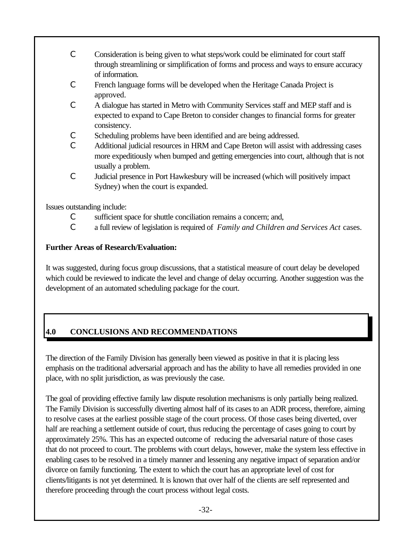- C Consideration is being given to what steps/work could be eliminated for court staff through streamlining or simplification of forms and process and ways to ensure accuracy of information.
- C French language forms will be developed when the Heritage Canada Project is approved.
- C A dialogue has started in Metro with Community Services staff and MEP staff and is expected to expand to Cape Breton to consider changes to financial forms for greater consistency.
- C Scheduling problems have been identified and are being addressed.
- C Additional judicial resources in HRM and Cape Breton will assist with addressing cases more expeditiously when bumped and getting emergencies into court, although that is not usually a problem.
- C Judicial presence in Port Hawkesbury will be increased (which will positively impact Sydney) when the court is expanded.

Issues outstanding include:

- C sufficient space for shuttle conciliation remains a concern; and,
- C a full review of legislation is required of *Family and Children and Services Act* cases.

## **Further Areas of Research/Evaluation:**

It was suggested, during focus group discussions, that a statistical measure of court delay be developed which could be reviewed to indicate the level and change of delay occurring. Another suggestion was the development of an automated scheduling package for the court.

# **4.0 CONCLUSIONS AND RECOMMENDATIONS**

The direction of the Family Division has generally been viewed as positive in that it is placing less emphasis on the traditional adversarial approach and has the ability to have all remedies provided in one place, with no split jurisdiction, as was previously the case.

The goal of providing effective family law dispute resolution mechanisms is only partially being realized. The Family Division is successfully diverting almost half of its cases to an ADR process, therefore, aiming to resolve cases at the earliest possible stage of the court process. Of those cases being diverted, over half are reaching a settlement outside of court, thus reducing the percentage of cases going to court by approximately 25%. This has an expected outcome of reducing the adversarial nature of those cases that do not proceed to court. The problems with court delays, however, make the system less effective in enabling cases to be resolved in a timely manner and lessening any negative impact of separation and/or divorce on family functioning. The extent to which the court has an appropriate level of cost for clients/litigants is not yet determined. It is known that over half of the clients are self represented and therefore proceeding through the court process without legal costs.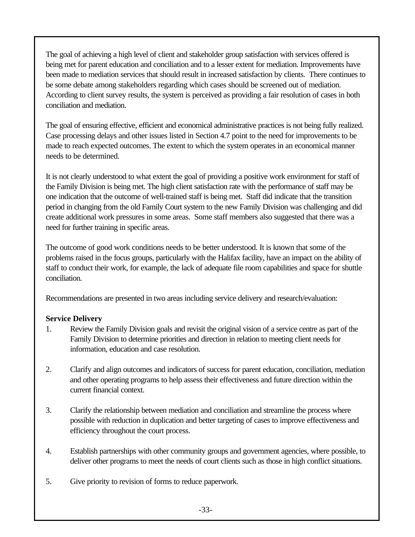The goal of achieving a high level of client and stakeholder group satisfaction with services offered is being met for parent education and conciliation and to a lesser extent for mediation. Improvements have been made to mediation services that should result in increased satisfaction by clients. There continues to be some debate among stakeholders regarding which cases should be screened out of mediation. According to client survey results, the system is perceived as providing a fair resolution of cases in both conciliation and mediation.

The goal of ensuring effective, efficient and economical administrative practices is not being fully realized. Case processing delays and other issues listed in Section 4.7 point to the need for improvements to be made to reach expected outcomes. The extent to which the system operates in an economical manner needs to be determined.

It is not clearly understood to what extent the goal of providing a positive work environment for staff of the Family Division is being met. The high client satisfaction rate with the performance of staff may be one indication that the outcome of well-trained staff is being met. Staff did indicate that the transition period in changing from the old Family Court system to the new Family Division was challenging and did create additional work pressures in some areas. Some staff members also suggested that there was a need for further training in specific areas.

The outcome of good work conditions needs to be better understood. It is known that some of the problems raised in the focus groups, particularly with the Halifax facility, have an impact on the ability of staff to conduct their work, for example, the lack of adequate file room capabilities and space for shuttle conciliation.

Recommendations are presented in two areas including service delivery and research/evaluation:

## **Service Delivery**

- 1. Review the Family Division goals and revisit the original vision of a service centre as part of the Family Division to determine priorities and direction in relation to meeting client needs for information, education and case resolution.
- 2. Clarify and align outcomes and indicators of success for parent education, conciliation, mediation and other operating programs to help assess their effectiveness and future direction within the current financial context.
- 3. Clarify the relationship between mediation and conciliation and streamline the process where possible with reduction in duplication and better targeting of cases to improve effectiveness and efficiency throughout the court process.
- 4. Establish partnerships with other community groups and government agencies, where possible, to deliver other programs to meet the needs of court clients such as those in high conflict situations.
- 5. Give priority to revision of forms to reduce paperwork.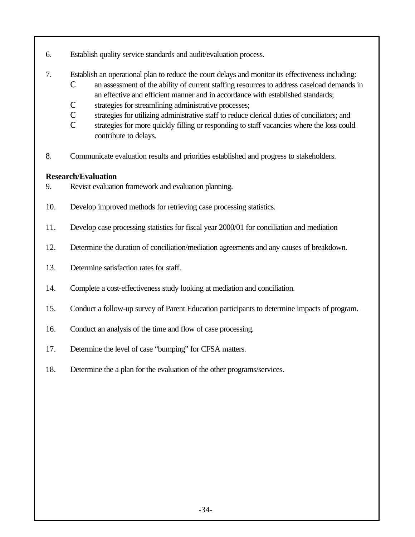- 6. Establish quality service standards and audit/evaluation process.
- 7. Establish an operational plan to reduce the court delays and monitor its effectiveness including:
	- C an assessment of the ability of current staffing resources to address caseload demands in an effective and efficient manner and in accordance with established standards;
	- C strategies for streamlining administrative processes;
	- C strategies for utilizing administrative staff to reduce clerical duties of conciliators; and
	- C strategies for more quickly filling or responding to staff vacancies where the loss could contribute to delays.
- 8. Communicate evaluation results and priorities established and progress to stakeholders.

#### **Research/Evaluation**

- 9. Revisit evaluation framework and evaluation planning.
- 10. Develop improved methods for retrieving case processing statistics.
- 11. Develop case processing statistics for fiscal year 2000/01 for conciliation and mediation
- 12. Determine the duration of conciliation/mediation agreements and any causes of breakdown.
- 13. Determine satisfaction rates for staff.
- 14. Complete a cost-effectiveness study looking at mediation and conciliation.
- 15. Conduct a follow-up survey of Parent Education participants to determine impacts of program.
- 16. Conduct an analysis of the time and flow of case processing.
- 17. Determine the level of case "bumping" for CFSA matters.
- 18. Determine the a plan for the evaluation of the other programs/services.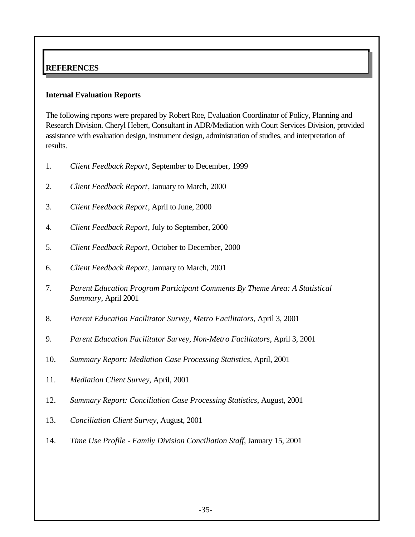## **REFERENCES**

#### **Internal Evaluation Reports**

The following reports were prepared by Robert Roe, Evaluation Coordinator of Policy, Planning and Research Division. Cheryl Hebert, Consultant in ADR/Mediation with Court Services Division, provided assistance with evaluation design, instrument design, administration of studies, and interpretation of results.

- 1. *Client Feedback Report*, September to December, 1999
- 2. *Client Feedback Report*, January to March, 2000
- 3. *Client Feedback Report*, April to June, 2000
- 4. *Client Feedback Report*, July to September, 2000
- 5. *Client Feedback Report*, October to December, 2000
- 6. *Client Feedback Report*, January to March, 2001
- 7. *Parent Education Program Participant Comments By Theme Area: A Statistical Summary*, April 2001
- 8. *Parent Education Facilitator Survey, Metro Facilitators*, April 3, 2001
- 9. *Parent Education Facilitator Survey, Non-Metro Facilitators*, April 3, 2001
- 10. *Summary Report: Mediation Case Processing Statistics*, April, 2001
- 11. *Mediation Client Survey*, April, 2001
- 12. *Summary Report: Conciliation Case Processing Statistics*, August, 2001
- 13. *Conciliation Client Survey*, August, 2001
- 14. *Time Use Profile Family Division Conciliation Staff*, January 15, 2001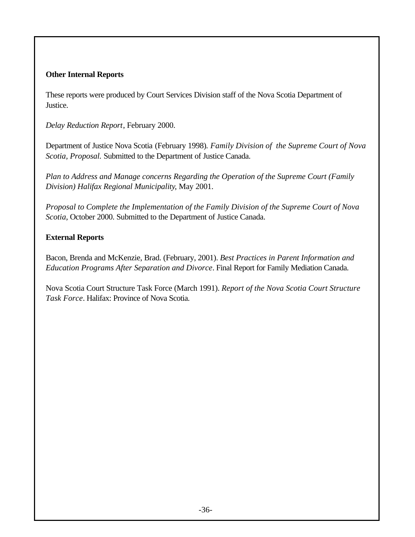#### **Other Internal Reports**

These reports were produced by Court Services Division staff of the Nova Scotia Department of Justice.

*Delay Reduction Report*, February 2000.

Department of Justice Nova Scotia (February 1998)*. Family Division of the Supreme Court of Nova Scotia, Proposal.* Submitted to the Department of Justice Canada.

*Plan to Address and Manage concerns Regarding the Operation of the Supreme Court (Family Division) Halifax Regional Municipality*, May 2001.

*Proposal to Complete the Implementation of the Family Division of the Supreme Court of Nova Scotia*, October 2000. Submitted to the Department of Justice Canada.

#### **External Reports**

Bacon, Brenda and McKenzie, Brad. (February, 2001). *Best Practices in Parent Information and Education Programs After Separation and Divorce*. Final Report for Family Mediation Canada.

Nova Scotia Court Structure Task Force (March 1991). *Report of the Nova Scotia Court Structure Task Force*. Halifax: Province of Nova Scotia.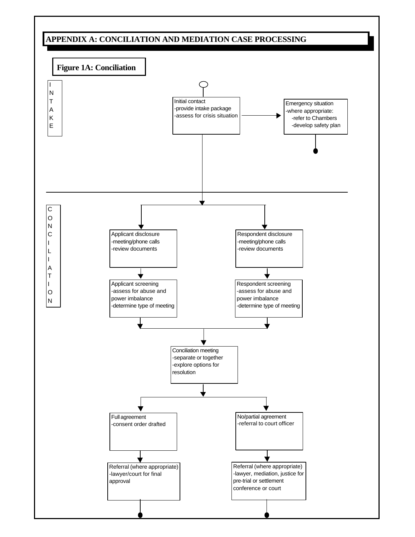# **APPENDIX A: CONCILIATION AND MEDIATION CASE PROCESSING**

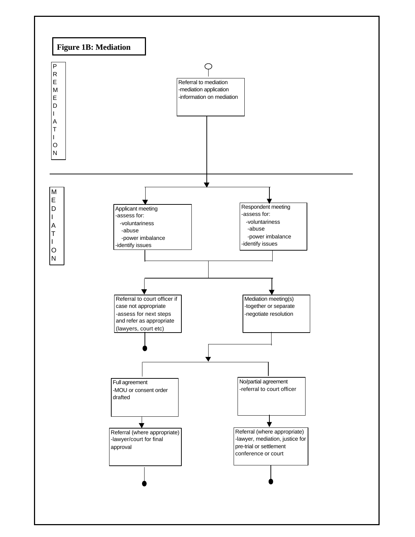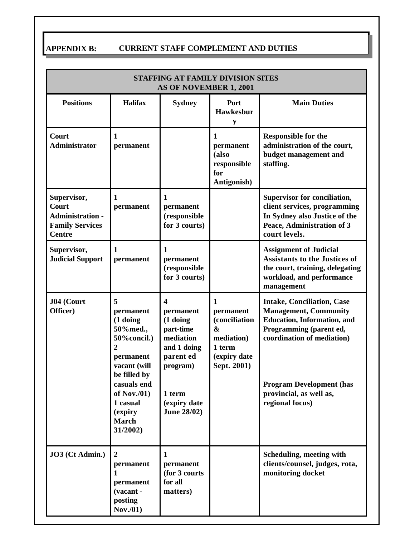# **APPENDIX B: CURRENT STAFF COMPLEMENT AND DUTIES**

| <b>STAFFING AT FAMILY DIVISION SITES</b><br>AS OF NOVEMBER 1, 2001                                |                                                                                                                                                                                                        |                                                                                                                                                             |                                                                                                        |                                                                                                                                                                                                                                                   |
|---------------------------------------------------------------------------------------------------|--------------------------------------------------------------------------------------------------------------------------------------------------------------------------------------------------------|-------------------------------------------------------------------------------------------------------------------------------------------------------------|--------------------------------------------------------------------------------------------------------|---------------------------------------------------------------------------------------------------------------------------------------------------------------------------------------------------------------------------------------------------|
| <b>Positions</b>                                                                                  | <b>Halifax</b>                                                                                                                                                                                         | <b>Sydney</b>                                                                                                                                               | Port<br><b>Hawkesbur</b><br>y                                                                          | <b>Main Duties</b>                                                                                                                                                                                                                                |
| Court<br><b>Administrator</b>                                                                     | 1<br>permanent                                                                                                                                                                                         |                                                                                                                                                             | 1<br>permanent<br>(also<br>responsible<br>for<br>Antigonish)                                           | <b>Responsible for the</b><br>administration of the court,<br>budget management and<br>staffing.                                                                                                                                                  |
| Supervisor,<br><b>Court</b><br><b>Administration -</b><br><b>Family Services</b><br><b>Centre</b> | $\mathbf{1}$<br>permanent                                                                                                                                                                              | 1<br>permanent<br>(responsible<br>for 3 courts)                                                                                                             |                                                                                                        | Supervisor for conciliation,<br>client services, programming<br>In Sydney also Justice of the<br>Peace, Administration of 3<br>court levels.                                                                                                      |
| Supervisor,<br><b>Judicial Support</b>                                                            | 1<br>permanent                                                                                                                                                                                         | 1<br>permanent<br>(responsible<br>for 3 courts)                                                                                                             |                                                                                                        | <b>Assignment of Judicial</b><br><b>Assistants to the Justices of</b><br>the court, training, delegating<br>workload, and performance<br>management                                                                                               |
| J04 (Court<br>Officer)                                                                            | 5<br>permanent<br>(1 doing<br>50%med.,<br>50% concil.)<br>$\mathbf{2}$<br>permanent<br>vacant (will<br>be filled by<br>casuals end<br>of Nov. $(01)$<br>1 casual<br>(expiry<br><b>March</b><br>31/2002 | $\boldsymbol{4}$<br>permanent<br>(1 doing<br>part-time<br>mediation<br>and 1 doing<br>parent ed<br>program)<br>1 term<br>(expiry date<br><b>June 28/02)</b> | $\mathbf{1}$<br>permanent<br>(conciliation<br>&<br>mediation)<br>1 term<br>(expiry date<br>Sept. 2001) | <b>Intake, Conciliation, Case</b><br><b>Management, Community</b><br><b>Education, Information, and</b><br>Programming (parent ed,<br>coordination of mediation)<br><b>Program Development (has</b><br>provincial, as well as,<br>regional focus) |
| JO3 (Ct Admin.)                                                                                   | $\overline{2}$<br>permanent<br>1<br>permanent<br>(vacant -<br>posting<br>Nov.(01)                                                                                                                      | 1<br>permanent<br>(for 3 courts)<br>for all<br>matters)                                                                                                     |                                                                                                        | Scheduling, meeting with<br>clients/counsel, judges, rota,<br>monitoring docket                                                                                                                                                                   |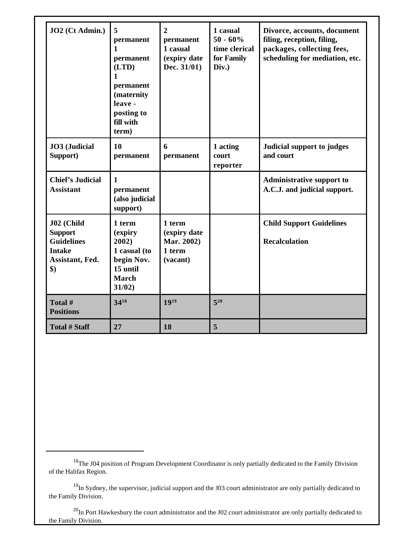| JO2 (Ct Admin.)                                                                                             | 5<br>permanent<br>1<br>permanent<br>(LTD)<br>$\mathbf{1}$<br>permanent<br>(maternity<br>leave -<br>posting to<br>fill with<br>term) | $\overline{2}$<br>permanent<br>1 casual<br>(expiry date<br>Dec. 31/01) | 1 casual<br>$50 - 60\%$<br>time clerical<br>for Family<br>Div.) | Divorce, accounts, document<br>filing, reception, filing,<br>packages, collecting fees,<br>scheduling for mediation, etc. |
|-------------------------------------------------------------------------------------------------------------|-------------------------------------------------------------------------------------------------------------------------------------|------------------------------------------------------------------------|-----------------------------------------------------------------|---------------------------------------------------------------------------------------------------------------------------|
| JO3 (Judicial<br>Support)                                                                                   | 10<br>permanent                                                                                                                     | 6<br>permanent                                                         | 1 acting<br>court<br>reporter                                   | Judicial support to judges<br>and court                                                                                   |
| <b>Chief's Judicial</b><br><b>Assistant</b>                                                                 | 1<br>permanent<br>(also judicial<br>support)                                                                                        |                                                                        |                                                                 | <b>Administrative support to</b><br>A.C.J. and judicial support.                                                          |
| J02 (Child<br><b>Support</b><br><b>Guidelines</b><br><b>Intake</b><br>Assistant, Fed.<br>$\boldsymbol{\$})$ | 1 term<br>(expiry<br>2002)<br>1 casual (to<br>begin Nov.<br>15 until<br><b>March</b><br>31/02)                                      | 1 term<br>(expiry date<br>Mar. 2002)<br>1 term<br>(vacant)             |                                                                 | <b>Child Support Guidelines</b><br><b>Recalculation</b>                                                                   |
| Total #<br><b>Positions</b>                                                                                 | 3418                                                                                                                                | 1919                                                                   | $5^{20}$                                                        |                                                                                                                           |
| <b>Total # Staff</b>                                                                                        | 27                                                                                                                                  | 18                                                                     | 5                                                               |                                                                                                                           |

<sup>&</sup>lt;sup>18</sup>The J04 position of Program Development Coordinator is only partially dedicated to the Family Division of the Halifax Region.

<sup>&</sup>lt;sup>19</sup>In Sydney, the supervisor, judicial support and the J03 court administrator are only partially dedicated to the Family Division.

 $^{20}$ In Port Hawkesbury the court administrator and the J02 court administrator are only partially dedicated to the Family Division.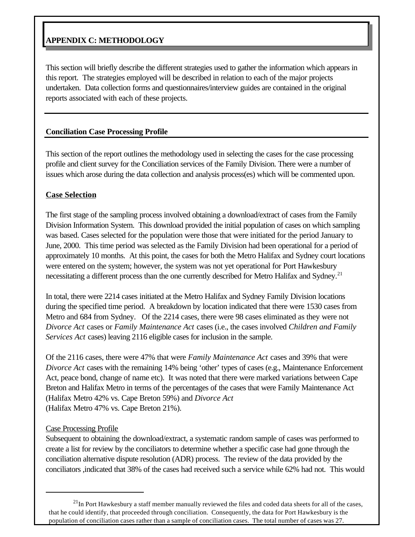## **APPENDIX C: METHODOLOGY**

This section will briefly describe the different strategies used to gather the information which appears in this report. The strategies employed will be described in relation to each of the major projects undertaken. Data collection forms and questionnaires/interview guides are contained in the original reports associated with each of these projects.

#### **Conciliation Case Processing Profile**

This section of the report outlines the methodology used in selecting the cases for the case processing profile and client survey for the Conciliation services of the Family Division. There were a number of issues which arose during the data collection and analysis process(es) which will be commented upon.

#### **Case Selection**

The first stage of the sampling process involved obtaining a download/extract of cases from the Family Division Information System. This download provided the initial population of cases on which sampling was based. Cases selected for the population were those that were initiated for the period January to June, 2000. This time period was selected as the Family Division had been operational for a period of approximately 10 months. At this point, the cases for both the Metro Halifax and Sydney court locations were entered on the system; however, the system was not yet operational for Port Hawkesbury necessitating a different process than the one currently described for Metro Halifax and Sydney.<sup>21</sup>

In total, there were 2214 cases initiated at the Metro Halifax and Sydney Family Division locations during the specified time period. A breakdown by location indicated that there were 1530 cases from Metro and 684 from Sydney. Of the 2214 cases, there were 98 cases eliminated as they were not *Divorce Act* cases or *Family Maintenance Act* cases (i.e., the cases involved *Children and Family Services Act* cases) leaving 2116 eligible cases for inclusion in the sample.

Of the 2116 cases, there were 47% that were *Family Maintenance Act* cases and 39% that were *Divorce Act* cases with the remaining 14% being 'other' types of cases (e.g., Maintenance Enforcement Act, peace bond, change of name etc). It was noted that there were marked variations between Cape Breton and Halifax Metro in terms of the percentages of the cases that were Family Maintenance Act (Halifax Metro 42% vs. Cape Breton 59%) and *Divorce Act* (Halifax Metro 47% vs. Cape Breton 21%).

#### Case Processing Profile

Subsequent to obtaining the download/extract, a systematic random sample of cases was performed to create a list for review by the conciliators to determine whether a specific case had gone through the conciliation alternative dispute resolution (ADR) process. The review of the data provided by the conciliators ,indicated that 38% of the cases had received such a service while 62% had not. This would

 $^{21}$ In Port Hawkesbury a staff member manually reviewed the files and coded data sheets for all of the cases, that he could identify, that proceeded through conciliation. Consequently, the data for Port Hawkesbury is the population of conciliation cases rather than a sample of conciliation cases. The total number of cases was 27.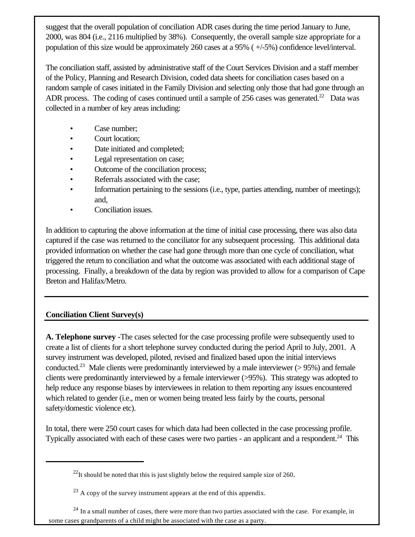suggest that the overall population of conciliation ADR cases during the time period January to June, 2000, was 804 (i.e., 2116 multiplied by 38%). Consequently, the overall sample size appropriate for a population of this size would be approximately 260 cases at a 95% ( +/-5%) confidence level/interval.

The conciliation staff, assisted by administrative staff of the Court Services Division and a staff member of the Policy, Planning and Research Division, coded data sheets for conciliation cases based on a random sample of cases initiated in the Family Division and selecting only those that had gone through an ADR process. The coding of cases continued until a sample of 256 cases was generated.<sup>22</sup> Data was collected in a number of key areas including:

- Case number:
- Court location:
- Date initiated and completed;
- Legal representation on case;
- Outcome of the conciliation process;
- Referrals associated with the case;
- Information pertaining to the sessions (i.e., type, parties attending, number of meetings); and,
- Conciliation issues.

In addition to capturing the above information at the time of initial case processing, there was also data captured if the case was returned to the conciliator for any subsequent processing. This additional data provided information on whether the case had gone through more than one cycle of conciliation, what triggered the return to conciliation and what the outcome was associated with each additional stage of processing. Finally, a breakdown of the data by region was provided to allow for a comparison of Cape Breton and Halifax/Metro.

# **Conciliation Client Survey(s)**

**A. Telephone survey -**The cases selected for the case processing profile were subsequently used to create a list of clients for a short telephone survey conducted during the period April to July, 2001. A survey instrument was developed, piloted, revised and finalized based upon the initial interviews conducted.<sup>23</sup> Male clients were predominantly interviewed by a male interviewer ( $> 95\%$ ) and female clients were predominantly interviewed by a female interviewer (>95%). This strategy was adopted to help reduce any response biases by interviewees in relation to them reporting any issues encountered which related to gender (i.e., men or women being treated less fairly by the courts, personal safety/domestic violence etc).

In total, there were 250 court cases for which data had been collected in the case processing profile. Typically associated with each of these cases were two parties - an applicant and a respondent.<sup>24</sup> This

 $^{22}$ It should be noted that this is just slightly below the required sample size of 260.

 $^{23}$  A copy of the survey instrument appears at the end of this appendix.

 $24$  In a small number of cases, there were more than two parties associated with the case. For example, in some cases grandparents of a child might be associated with the case as a party.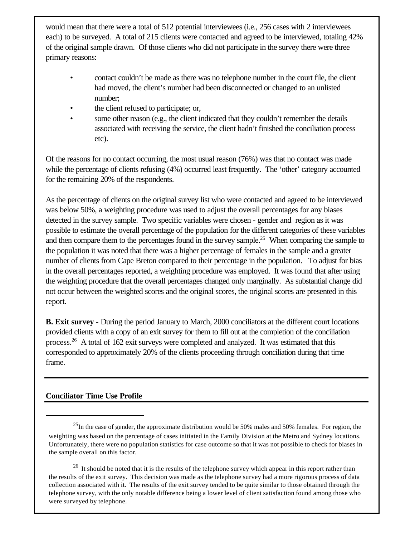would mean that there were a total of 512 potential interviewees (i.e., 256 cases with 2 interviewees each) to be surveyed. A total of 215 clients were contacted and agreed to be interviewed, totaling 42% of the original sample drawn. Of those clients who did not participate in the survey there were three primary reasons:

- contact couldn't be made as there was no telephone number in the court file, the client had moved, the client's number had been disconnected or changed to an unlisted number;
- the client refused to participate; or,
- some other reason (e.g., the client indicated that they couldn't remember the details associated with receiving the service, the client hadn't finished the conciliation process etc).

Of the reasons for no contact occurring, the most usual reason (76%) was that no contact was made while the percentage of clients refusing (4%) occurred least frequently. The 'other' category accounted for the remaining 20% of the respondents.

As the percentage of clients on the original survey list who were contacted and agreed to be interviewed was below 50%, a weighting procedure was used to adjust the overall percentages for any biases detected in the survey sample. Two specific variables were chosen - gender and region as it was possible to estimate the overall percentage of the population for the different categories of these variables and then compare them to the percentages found in the survey sample.<sup>25</sup> When comparing the sample to the population it was noted that there was a higher percentage of females in the sample and a greater number of clients from Cape Breton compared to their percentage in the population. To adjust for bias in the overall percentages reported, a weighting procedure was employed. It was found that after using the weighting procedure that the overall percentages changed only marginally. As substantial change did not occur between the weighted scores and the original scores, the original scores are presented in this report.

**B. Exit survey -** During the period January to March, 2000 conciliators at the different court locations provided clients with a copy of an exit survey for them to fill out at the completion of the conciliation process.<sup>26</sup> A total of 162 exit surveys were completed and analyzed. It was estimated that this corresponded to approximately 20% of the clients proceeding through conciliation during that time frame.

#### **Conciliator Time Use Profile**

 $^{25}$ In the case of gender, the approximate distribution would be 50% males and 50% females. For region, the weighting was based on the percentage of cases initiated in the Family Division at the Metro and Sydney locations. Unfortunately, there were no population statistics for case outcome so that it was not possible to check for biases in the sample overall on this factor.

<sup>&</sup>lt;sup>26</sup> It should be noted that it is the results of the telephone survey which appear in this report rather than the results of the exit survey. This decision was made as the telephone survey had a more rigorous process of data collection associated with it. The results of the exit survey tended to be quite similar to those obtained through the telephone survey, with the only notable difference being a lower level of client satisfaction found among those who were surveyed by telephone.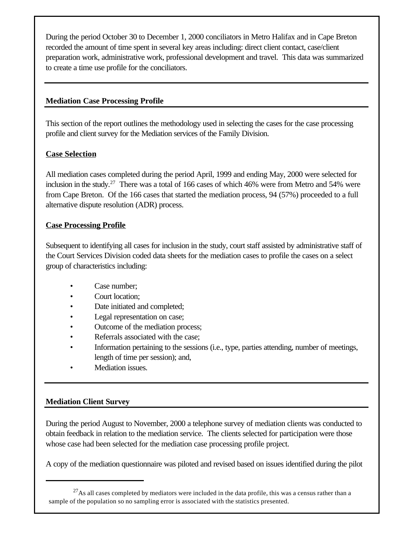During the period October 30 to December 1, 2000 conciliators in Metro Halifax and in Cape Breton recorded the amount of time spent in several key areas including: direct client contact, case/client preparation work, administrative work, professional development and travel. This data was summarized to create a time use profile for the conciliators.

#### **Mediation Case Processing Profile**

This section of the report outlines the methodology used in selecting the cases for the case processing profile and client survey for the Mediation services of the Family Division.

#### **Case Selection**

All mediation cases completed during the period April, 1999 and ending May, 2000 were selected for inclusion in the study.<sup>27</sup> There was a total of 166 cases of which 46% were from Metro and 54% were from Cape Breton. Of the 166 cases that started the mediation process, 94 (57%) proceeded to a full alternative dispute resolution (ADR) process.

#### **Case Processing Profile**

Subsequent to identifying all cases for inclusion in the study, court staff assisted by administrative staff of the Court Services Division coded data sheets for the mediation cases to profile the cases on a select group of characteristics including:

- Case number:
- Court location:
- Date initiated and completed;
- Legal representation on case;
- Outcome of the mediation process;
- Referrals associated with the case;
- Information pertaining to the sessions (i.e., type, parties attending, number of meetings, length of time per session); and,
- Mediation issues.

## **Mediation Client Survey**

During the period August to November, 2000 a telephone survey of mediation clients was conducted to obtain feedback in relation to the mediation service. The clients selected for participation were those whose case had been selected for the mediation case processing profile project.

A copy of the mediation questionnaire was piloted and revised based on issues identified during the pilot

 $^{27}$ As all cases completed by mediators were included in the data profile, this was a census rather than a sample of the population so no sampling error is associated with the statistics presented.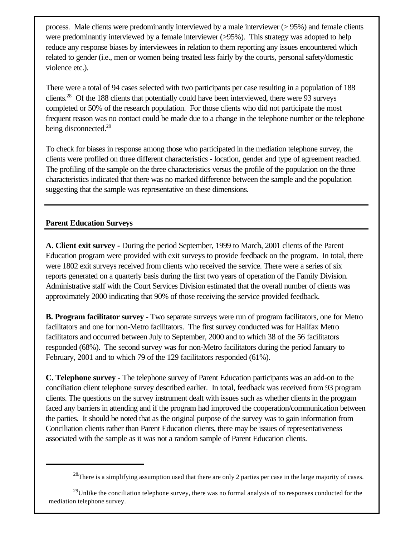process. Male clients were predominantly interviewed by a male interviewer (> 95%) and female clients were predominantly interviewed by a female interviewer (>95%). This strategy was adopted to help reduce any response biases by interviewees in relation to them reporting any issues encountered which related to gender (i.e., men or women being treated less fairly by the courts, personal safety/domestic violence etc.).

There were a total of 94 cases selected with two participants per case resulting in a population of 188 clients.<sup>28</sup> Of the 188 clients that potentially could have been interviewed, there were 93 surveys completed or 50% of the research population. For those clients who did not participate the most frequent reason was no contact could be made due to a change in the telephone number or the telephone being disconnected.<sup>29</sup>

To check for biases in response among those who participated in the mediation telephone survey, the clients were profiled on three different characteristics - location, gender and type of agreement reached. The profiling of the sample on the three characteristics versus the profile of the population on the three characteristics indicated that there was no marked difference between the sample and the population suggesting that the sample was representative on these dimensions.

#### **Parent Education Surveys**

**A. Client exit survey -** During the period September, 1999 to March, 2001 clients of the Parent Education program were provided with exit surveys to provide feedback on the program. In total, there were 1802 exit surveys received from clients who received the service. There were a series of six reports generated on a quarterly basis during the first two years of operation of the Family Division. Administrative staff with the Court Services Division estimated that the overall number of clients was approximately 2000 indicating that 90% of those receiving the service provided feedback.

**B. Program facilitator survey -** Two separate surveys were run of program facilitators, one for Metro facilitators and one for non-Metro facilitators. The first survey conducted was for Halifax Metro facilitators and occurred between July to September, 2000 and to which 38 of the 56 facilitators responded (68%). The second survey was for non-Metro facilitators during the period January to February, 2001 and to which 79 of the 129 facilitators responded (61%).

**C. Telephone survey -** The telephone survey of Parent Education participants was an add-on to the conciliation client telephone survey described earlier. In total, feedback was received from 93 program clients. The questions on the survey instrument dealt with issues such as whether clients in the program faced any barriers in attending and if the program had improved the cooperation/communication between the parties. It should be noted that as the original purpose of the survey was to gain information from Conciliation clients rather than Parent Education clients, there may be issues of representativeness associated with the sample as it was not a random sample of Parent Education clients.

<sup>&</sup>lt;sup>28</sup>There is a simplifying assumption used that there are only 2 parties per case in the large majority of cases.

<sup>&</sup>lt;sup>29</sup>Unlike the conciliation telephone survey, there was no formal analysis of no responses conducted for the mediation telephone survey.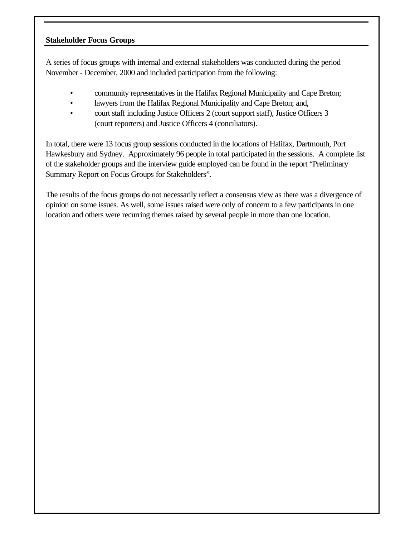#### **Stakeholder Focus Groups**

A series of focus groups with internal and external stakeholders was conducted during the period November - December, 2000 and included participation from the following:

- community representatives in the Halifax Regional Municipality and Cape Breton;
- lawyers from the Halifax Regional Municipality and Cape Breton; and,
- court staff including Justice Officers 2 (court support staff), Justice Officers 3 (court reporters) and Justice Officers 4 (conciliators).

In total, there were 13 focus group sessions conducted in the locations of Halifax, Dartmouth, Port Hawkesbury and Sydney. Approximately 96 people in total participated in the sessions. A complete list of the stakeholder groups and the interview guide employed can be found in the report "Preliminary Summary Report on Focus Groups for Stakeholders".

The results of the focus groups do not necessarily reflect a consensus view as there was a divergence of opinion on some issues. As well, some issues raised were only of concern to a few participants in one location and others were recurring themes raised by several people in more than one location.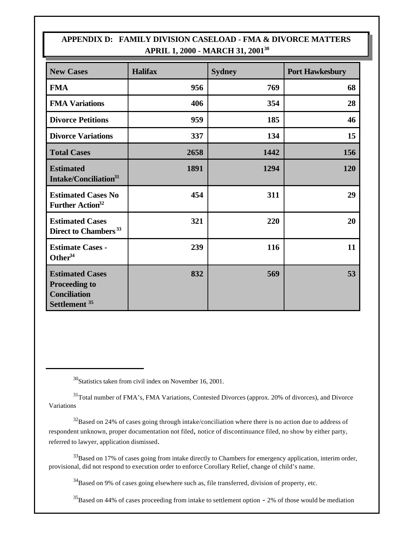## **APPENDIX D: FAMILY DIVISION CASELOAD - FMA & DIVORCE MATTERS APRIL 1, 2000 - MARCH 31, 2001<sup>30</sup>**

| <b>New Cases</b>                                                                                  | <b>Halifax</b> | <b>Sydney</b> | <b>Port Hawkesbury</b> |
|---------------------------------------------------------------------------------------------------|----------------|---------------|------------------------|
| <b>FMA</b>                                                                                        | 956            | 769           | 68                     |
| <b>FMA Variations</b>                                                                             | 406            | 354           | 28                     |
| <b>Divorce Petitions</b>                                                                          | 959            | 185           | 46                     |
| <b>Divorce Variations</b>                                                                         | 337            | 134           | 15                     |
| <b>Total Cases</b>                                                                                | 2658           | 1442          | 156                    |
| <b>Estimated</b><br>Intake/Conciliation <sup>31</sup>                                             | 1891           | 1294          | 120                    |
| <b>Estimated Cases No</b><br>Further Action <sup>32</sup>                                         | 454            | 311           | 29                     |
| <b>Estimated Cases</b><br>Direct to Chambers <sup>33</sup>                                        | 321            | 220           | 20                     |
| <b>Estimate Cases -</b><br>Other $34$                                                             | 239            | 116           | 11                     |
| <b>Estimated Cases</b><br><b>Proceeding to</b><br><b>Conciliation</b><br>Settlement <sup>35</sup> | 832            | 569           | 53                     |

<sup>30</sup>Statistics taken from civil index on November 16, 2001.

<sup>31</sup>Total number of FMA's, FMA Variations, Contested Divorces (approx. 20% of divorces), and Divorce Variations

 $32$ Based on 24% of cases going through intake/conciliation where there is no action due to address of respondent unknown, proper documentation not filed, notice of discontinuance filed, no show by either party, referred to lawyer, application dismissed.

 $33$ Based on 17% of cases going from intake directly to Chambers for emergency application, interim order, provisional, did not respond to execution order to enforce Corollary Relief, change of child's name.

 $34B$ ased on 9% of cases going elsewhere such as, file transferred, division of property, etc.

 ${}^{35}$ Based on 44% of cases proceeding from intake to settlement option - 2% of those would be mediation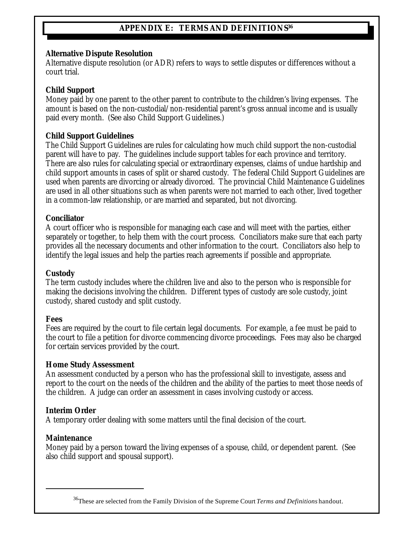## **APPENDIX E: TERMS AND DEFINITIONS<sup>36</sup>**

#### **Alternative Dispute Resolution**

Alternative dispute resolution (or ADR) refers to ways to settle disputes or differences without a court trial.

#### **Child Support**

Money paid by one parent to the other parent to contribute to the children's living expenses. The amount is based on the non-custodial/non-residential parent's gross annual income and is usually paid every month. (See also Child Support Guidelines.)

#### **Child Support Guidelines**

The Child Support Guidelines are rules for calculating how much child support the non-custodial parent will have to pay. The guidelines include support tables for each province and territory. There are also rules for calculating special or extraordinary expenses, claims of undue hardship and child support amounts in cases of split or shared custody. The federal Child Support Guidelines are used when parents are divorcing or already divorced. The provincial Child Maintenance Guidelines are used in all other situations such as when parents were not married to each other, lived together in a common-law relationship, or are married and separated, but not divorcing.

#### **Conciliator**

A court officer who is responsible for managing each case and will meet with the parties, either separately or together, to help them with the court process. Conciliators make sure that each party provides all the necessary documents and other information to the court. Conciliators also help to identify the legal issues and help the parties reach agreements if possible and appropriate.

#### **Custody**

The term custody includes where the children live and also to the person who is responsible for making the decisions involving the children. Different types of custody are sole custody, joint custody, shared custody and split custody.

#### **Fees**

Fees are required by the court to file certain legal documents. For example, a fee must be paid to the court to file a petition for divorce commencing divorce proceedings. Fees may also be charged for certain services provided by the court.

#### **Home Study Assessment**

An assessment conducted by a person who has the professional skill to investigate, assess and report to the court on the needs of the children and the ability of the parties to meet those needs of the children. A judge can order an assessment in cases involving custody or access.

#### **Interim Order**

A temporary order dealing with some matters until the final decision of the court.

#### **Maintenance**

Money paid by a person toward the living expenses of a spouse, child, or dependent parent. (See also child support and spousal support).

<sup>36</sup>These are selected from the Family Division of the Supreme Court *Terms and Definitions* handout.